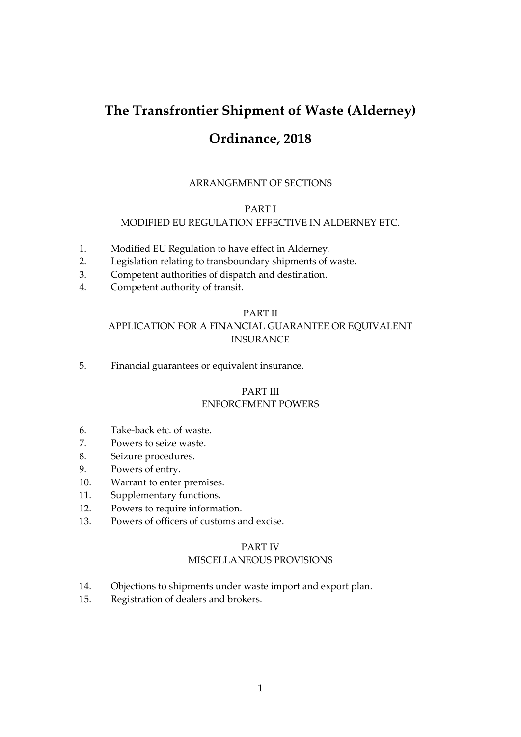# **The Transfrontier Shipment of Waste (Alderney) Ordinance, 2018**

# ARRANGEMENT OF SECTIONS

# PART I

#### MODIFIED EU REGULATION EFFECTIVE IN ALDERNEY ETC.

- 1. Modified EU Regulation to have effect in Alderney.
- 2. Legislation relating to transboundary shipments of waste.
- 3. Competent authorities of dispatch and destination.
- 4. Competent authority of transit.

# PART II

# APPLICATION FOR A FINANCIAL GUARANTEE OR EQUIVALENT INSURANCE

5. Financial guarantees or equivalent insurance.

# PART III ENFORCEMENT POWERS

- 6. Take-back etc. of waste.
- 7. Powers to seize waste.
- 8. Seizure procedures.
- 9. Powers of entry.
- 10. Warrant to enter premises.
- 11. Supplementary functions.
- 12. Powers to require information.
- 13. Powers of officers of customs and excise.

#### PART IV

# MISCELLANEOUS PROVISIONS

- 14. Objections to shipments under waste import and export plan.
- 15. Registration of dealers and brokers.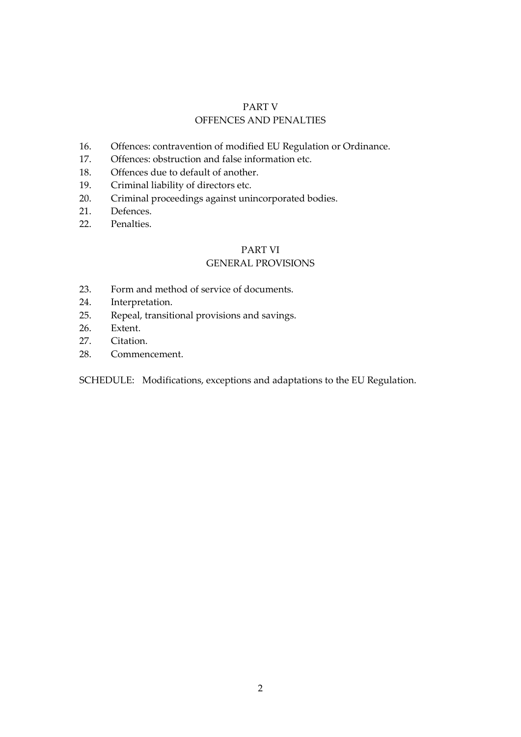# PART V OFFENCES AND PENALTIES

- 16. Offences: contravention of modified EU Regulation or Ordinance.
- 17. Offences: obstruction and false information etc.
- 18. Offences due to default of another.
- 19. Criminal liability of directors etc.
- 20. Criminal proceedings against unincorporated bodies.
- 21. Defences.
- 22. Penalties.

# PART VI

# GENERAL PROVISIONS

- 23. Form and method of service of documents.
- 24. Interpretation.
- 25. Repeal, transitional provisions and savings.
- 26. Extent.
- 27. Citation.
- 28. Commencement.

SCHEDULE: Modifications, exceptions and adaptations to the EU Regulation.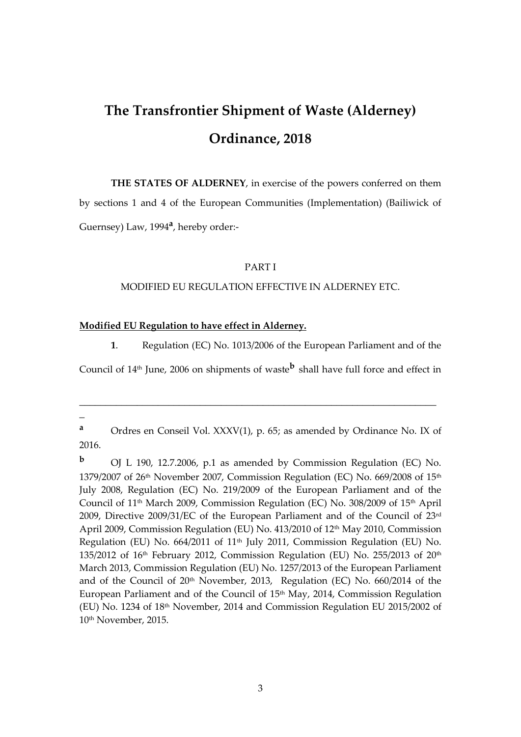# **The Transfrontier Shipment of Waste (Alderney) Ordinance, 2018**

**THE STATES OF ALDERNEY**, in exercise of the powers conferred on them by sections 1 and 4 of the European Communities (Implementation) (Bailiwick of Guernsey) Law, 1994**<sup>a</sup>** , hereby order:-

#### PART I

#### MODIFIED EU REGULATION EFFECTIVE IN ALDERNEY ETC.

# **Modified EU Regulation to have effect in Alderney.**

**1**. Regulation (EC) No. 1013/2006 of the European Parliament and of the

Council of 14<sup>th</sup> June, 2006 on shipments of waste<sup>b</sup> shall have full force and effect in

\_\_\_\_\_\_\_\_\_\_\_\_\_\_\_\_\_\_\_\_\_\_\_\_\_\_\_\_\_\_\_\_\_\_\_\_\_\_\_\_\_\_\_\_\_\_\_\_\_\_\_\_\_\_\_\_\_\_\_\_\_\_\_\_\_\_\_\_

**a** Ordres en Conseil Vol. XXXV(1), p. 65; as amended by Ordinance No. IX of 2016.

**<sup>b</sup>** OJ L 190, 12.7.2006, p.1 as amended by Commission Regulation (EC) No. 1379/2007 of 26<sup>th</sup> November 2007, Commission Regulation (EC) No. 669/2008 of  $15<sup>th</sup>$ July 2008, Regulation (EC) No. 219/2009 of the European Parliament and of the Council of  $11<sup>th</sup>$  March 2009, Commission Regulation (EC) No. 308/2009 of  $15<sup>th</sup>$  April 2009, Directive 2009/31/EC of the European Parliament and of the Council of 23rd April 2009, Commission Regulation (EU) No. 413/2010 of 12th May 2010, Commission Regulation (EU) No. 664/2011 of 11th July 2011, Commission Regulation (EU) No. 135/2012 of  $16<sup>th</sup>$  February 2012, Commission Regulation (EU) No. 255/2013 of  $20<sup>th</sup>$ March 2013, Commission Regulation (EU) No. 1257/2013 of the European Parliament and of the Council of  $20<sup>th</sup>$  November, 2013, Regulation (EC) No. 660/2014 of the European Parliament and of the Council of 15th May, 2014, Commission Regulation (EU) No. 1234 of 18th November, 2014 and Commission Regulation EU 2015/2002 of 10th November, 2015.

\_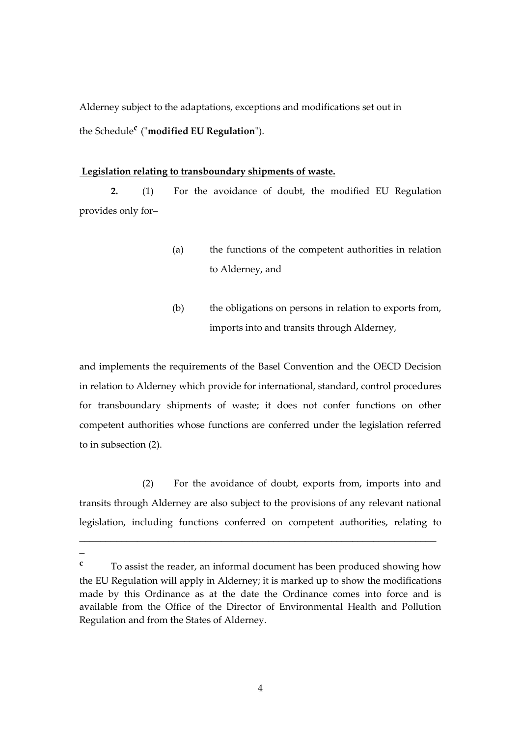Alderney subject to the adaptations, exceptions and modifications set out in the Schedule**<sup>c</sup>** ("**modified EU Regulation**").

#### **Legislation relating to transboundary shipments of waste.**

**2.** (1) For the avoidance of doubt, the modified EU Regulation provides only for–

- (a) the functions of the competent authorities in relation to Alderney, and
- (b) the obligations on persons in relation to exports from, imports into and transits through Alderney,

and implements the requirements of the Basel Convention and the OECD Decision in relation to Alderney which provide for international, standard, control procedures for transboundary shipments of waste; it does not confer functions on other competent authorities whose functions are conferred under the legislation referred to in subsection (2).

(2) For the avoidance of doubt, exports from, imports into and transits through Alderney are also subject to the provisions of any relevant national legislation, including functions conferred on competent authorities, relating to

\_\_\_\_\_\_\_\_\_\_\_\_\_\_\_\_\_\_\_\_\_\_\_\_\_\_\_\_\_\_\_\_\_\_\_\_\_\_\_\_\_\_\_\_\_\_\_\_\_\_\_\_\_\_\_\_\_\_\_\_\_\_\_\_\_\_\_\_

 $\overline{a}$ 

**<sup>c</sup>** To assist the reader, an informal document has been produced showing how the EU Regulation will apply in Alderney; it is marked up to show the modifications made by this Ordinance as at the date the Ordinance comes into force and is available from the Office of the Director of Environmental Health and Pollution Regulation and from the States of Alderney.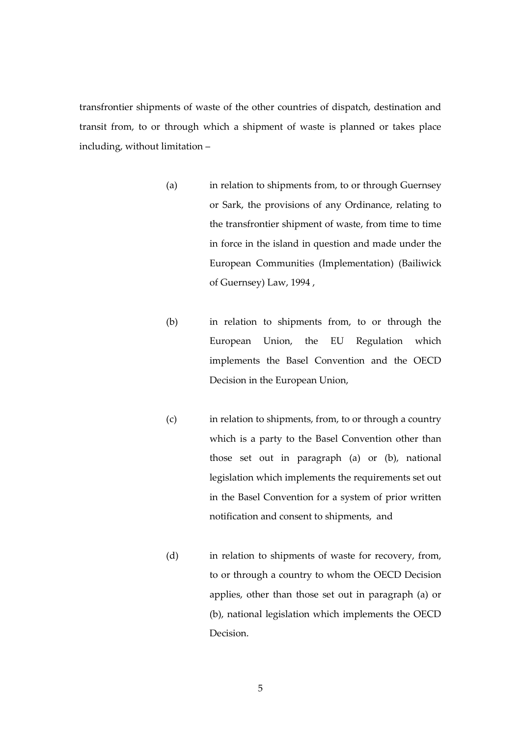transfrontier shipments of waste of the other countries of dispatch, destination and transit from, to or through which a shipment of waste is planned or takes place including, without limitation –

- (a) in relation to shipments from, to or through Guernsey or Sark, the provisions of any Ordinance, relating to the transfrontier shipment of waste, from time to time in force in the island in question and made under the European Communities (Implementation) (Bailiwick of Guernsey) Law, 1994 ,
- (b) in relation to shipments from, to or through the European Union, the EU Regulation which implements the Basel Convention and the OECD Decision in the European Union,
- (c) in relation to shipments, from, to or through a country which is a party to the Basel Convention other than those set out in paragraph (a) or (b), national legislation which implements the requirements set out in the Basel Convention for a system of prior written notification and consent to shipments, and
- (d) in relation to shipments of waste for recovery, from, to or through a country to whom the OECD Decision applies, other than those set out in paragraph (a) or (b), national legislation which implements the OECD Decision.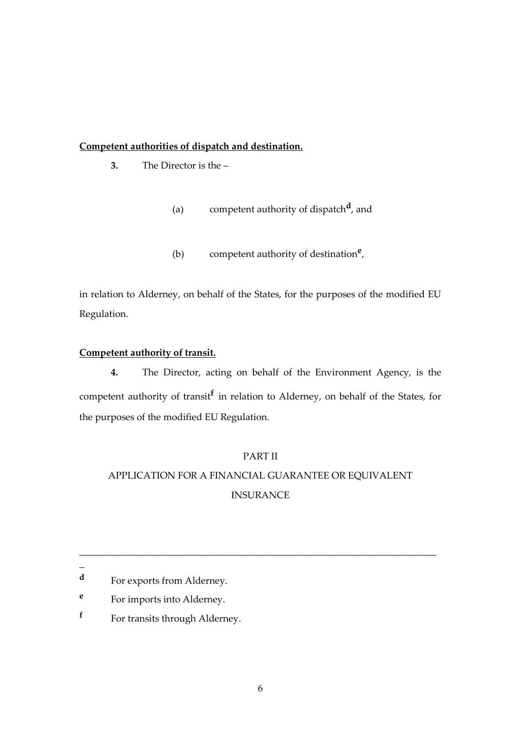# **Competent authorities of dispatch and destination.**

- **3.** The Director is the
	- (a) competent authority of dispatch**<sup>d</sup>** , and
	- (b) competent authority of destination**<sup>e</sup>** ,

in relation to Alderney, on behalf of the States, for the purposes of the modified EU Regulation.

# **Competent authority of transit.**

**4.** The Director, acting on behalf of the Environment Agency, is the competent authority of transit**<sup>f</sup>** in relation to Alderney, on behalf of the States, for the purposes of the modified EU Regulation.

# PART II

# APPLICATION FOR A FINANCIAL GUARANTEE OR EQUIVALENT INSURANCE

\_\_\_\_\_\_\_\_\_\_\_\_\_\_\_\_\_\_\_\_\_\_\_\_\_\_\_\_\_\_\_\_\_\_\_\_\_\_\_\_\_\_\_\_\_\_\_\_\_\_\_\_\_\_\_\_\_\_\_\_\_\_\_\_\_\_\_\_

 $\overline{a}$ 

- **e** For imports into Alderney.
- **f** For transits through Alderney.

**d** For exports from Alderney.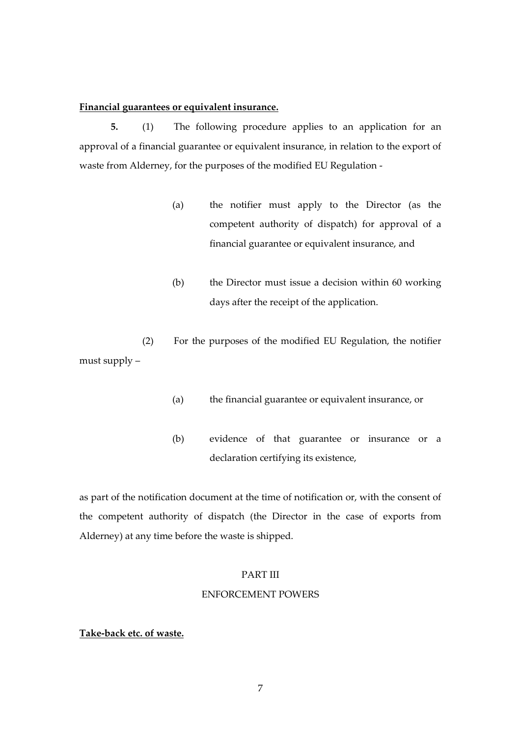#### **Financial guarantees or equivalent insurance.**

**5.** (1) The following procedure applies to an application for an approval of a financial guarantee or equivalent insurance, in relation to the export of waste from Alderney, for the purposes of the modified EU Regulation -

- (a) the notifier must apply to the Director (as the competent authority of dispatch) for approval of a financial guarantee or equivalent insurance, and
- (b) the Director must issue a decision within 60 working days after the receipt of the application.

(2) For the purposes of the modified EU Regulation, the notifier must supply –

- (a) the financial guarantee or equivalent insurance, or
- (b) evidence of that guarantee or insurance or a declaration certifying its existence,

as part of the notification document at the time of notification or, with the consent of the competent authority of dispatch (the Director in the case of exports from Alderney) at any time before the waste is shipped.

### PART III

#### ENFORCEMENT POWERS

# **Take-back etc. of waste.**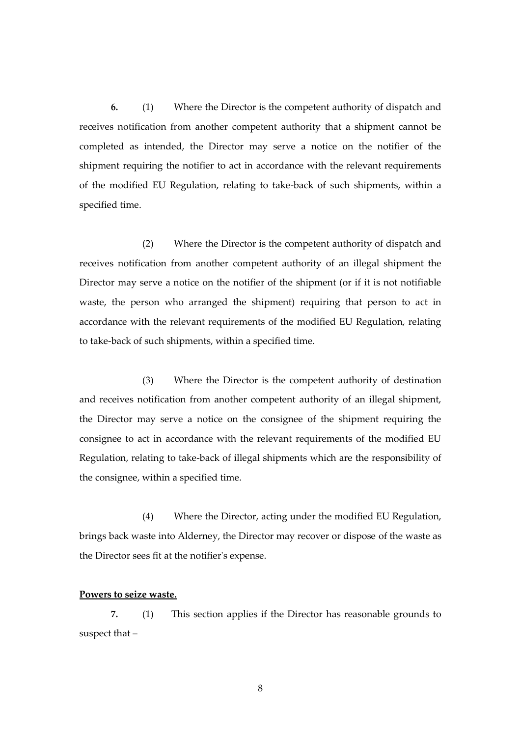**6.** (1) Where the Director is the competent authority of dispatch and receives notification from another competent authority that a shipment cannot be completed as intended, the Director may serve a notice on the notifier of the shipment requiring the notifier to act in accordance with the relevant requirements of the modified EU Regulation, relating to take-back of such shipments, within a specified time.

(2) Where the Director is the competent authority of dispatch and receives notification from another competent authority of an illegal shipment the Director may serve a notice on the notifier of the shipment (or if it is not notifiable waste, the person who arranged the shipment) requiring that person to act in accordance with the relevant requirements of the modified EU Regulation, relating to take-back of such shipments, within a specified time.

(3) Where the Director is the competent authority of destination and receives notification from another competent authority of an illegal shipment, the Director may serve a notice on the consignee of the shipment requiring the consignee to act in accordance with the relevant requirements of the modified EU Regulation, relating to take-back of illegal shipments which are the responsibility of the consignee, within a specified time.

(4) Where the Director, acting under the modified EU Regulation, brings back waste into Alderney, the Director may recover or dispose of the waste as the Director sees fit at the notifier's expense.

#### **Powers to seize waste.**

**7.** (1) This section applies if the Director has reasonable grounds to suspect that –

8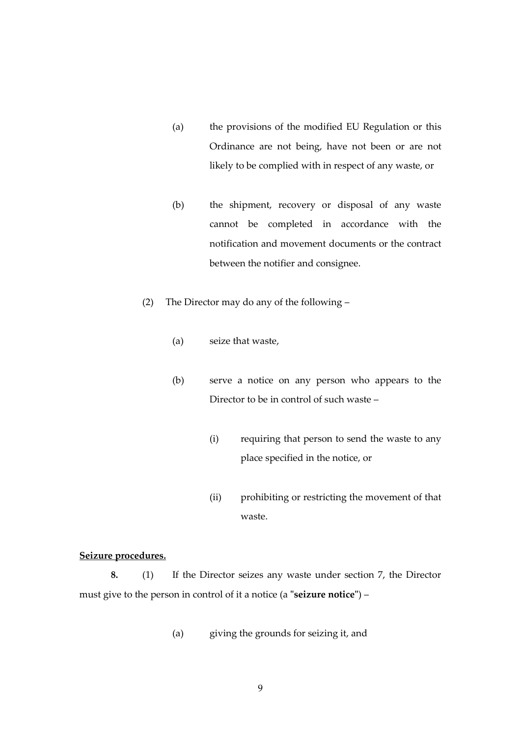- (a) the provisions of the modified EU Regulation or this Ordinance are not being, have not been or are not likely to be complied with in respect of any waste, or
- (b) the shipment, recovery or disposal of any waste cannot be completed in accordance with the notification and movement documents or the contract between the notifier and consignee.
- (2) The Director may do any of the following
	- (a) seize that waste,
	- (b) serve a notice on any person who appears to the Director to be in control of such waste –
		- (i) requiring that person to send the waste to any place specified in the notice, or
		- (ii) prohibiting or restricting the movement of that waste.

# **Seizure procedures.**

**8.** (1) If the Director seizes any waste under section 7, the Director must give to the person in control of it a notice (a **"seizure notice"**) –

(a) giving the grounds for seizing it, and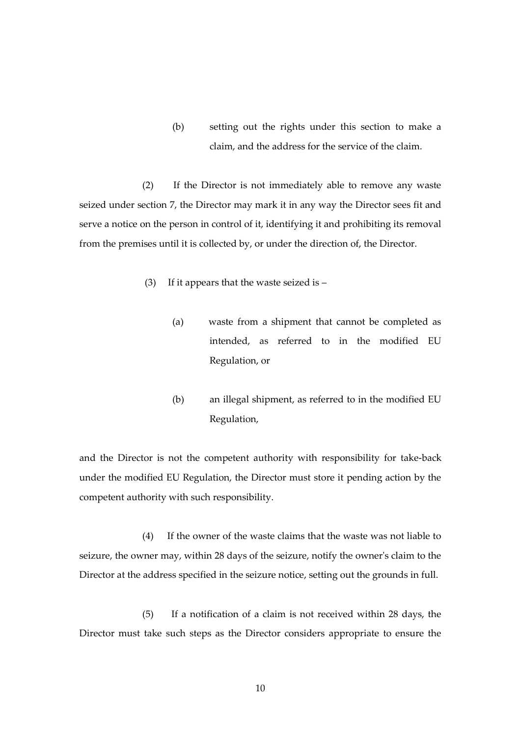(b) setting out the rights under this section to make a claim, and the address for the service of the claim.

(2) If the Director is not immediately able to remove any waste seized under section 7, the Director may mark it in any way the Director sees fit and serve a notice on the person in control of it, identifying it and prohibiting its removal from the premises until it is collected by, or under the direction of, the Director.

- (3) If it appears that the waste seized is
	- (a) waste from a shipment that cannot be completed as intended, as referred to in the modified EU Regulation, or
	- (b) an illegal shipment, as referred to in the modified EU Regulation,

and the Director is not the competent authority with responsibility for take-back under the modified EU Regulation, the Director must store it pending action by the competent authority with such responsibility.

(4) If the owner of the waste claims that the waste was not liable to seizure, the owner may, within 28 days of the seizure, notify the owner's claim to the Director at the address specified in the seizure notice, setting out the grounds in full.

(5) If a notification of a claim is not received within 28 days, the Director must take such steps as the Director considers appropriate to ensure the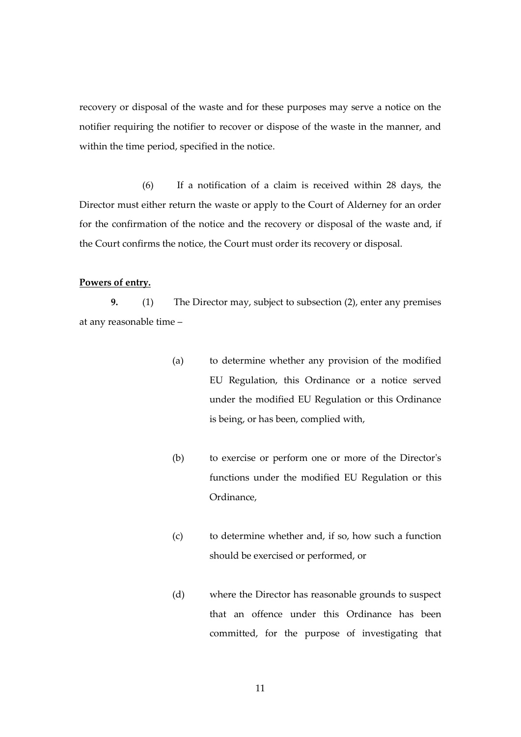recovery or disposal of the waste and for these purposes may serve a notice on the notifier requiring the notifier to recover or dispose of the waste in the manner, and within the time period, specified in the notice.

(6) If a notification of a claim is received within 28 days, the Director must either return the waste or apply to the Court of Alderney for an order for the confirmation of the notice and the recovery or disposal of the waste and, if the Court confirms the notice, the Court must order its recovery or disposal.

### **Powers of entry.**

**9.** (1) The Director may, subject to subsection (2), enter any premises at any reasonable time –

- (a) to determine whether any provision of the modified EU Regulation, this Ordinance or a notice served under the modified EU Regulation or this Ordinance is being, or has been, complied with,
- (b) to exercise or perform one or more of the Director's functions under the modified EU Regulation or this Ordinance,
- (c) to determine whether and, if so, how such a function should be exercised or performed, or
- (d) where the Director has reasonable grounds to suspect that an offence under this Ordinance has been committed, for the purpose of investigating that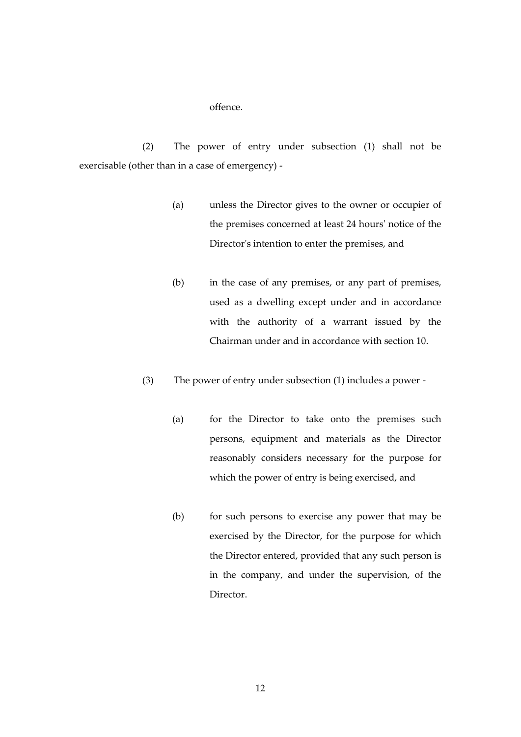#### offence.

(2) The power of entry under subsection (1) shall not be exercisable (other than in a case of emergency) -

- (a) unless the Director gives to the owner or occupier of the premises concerned at least 24 hours' notice of the Director's intention to enter the premises, and
- (b) in the case of any premises, or any part of premises, used as a dwelling except under and in accordance with the authority of a warrant issued by the Chairman under and in accordance with section 10.
- (3) The power of entry under subsection (1) includes a power
	- (a) for the Director to take onto the premises such persons, equipment and materials as the Director reasonably considers necessary for the purpose for which the power of entry is being exercised, and
	- (b) for such persons to exercise any power that may be exercised by the Director, for the purpose for which the Director entered, provided that any such person is in the company, and under the supervision, of the Director.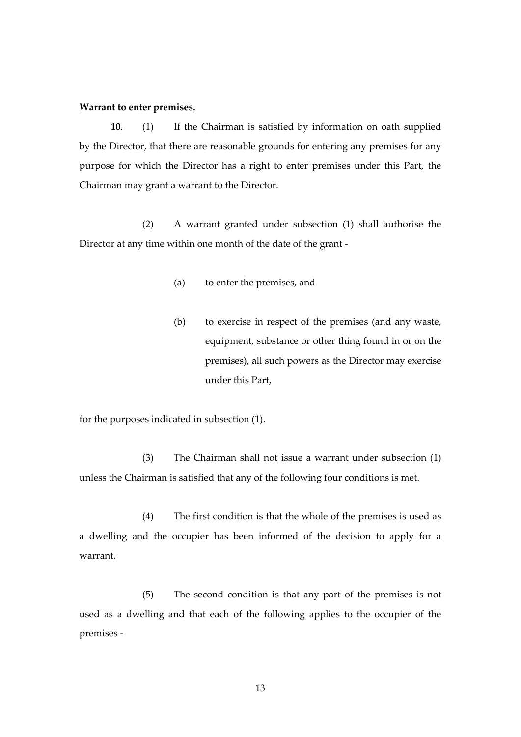#### **Warrant to enter premises.**

**10**. (1) If the Chairman is satisfied by information on oath supplied by the Director, that there are reasonable grounds for entering any premises for any purpose for which the Director has a right to enter premises under this Part, the Chairman may grant a warrant to the Director.

(2) A warrant granted under subsection (1) shall authorise the Director at any time within one month of the date of the grant -

- (a) to enter the premises, and
- (b) to exercise in respect of the premises (and any waste, equipment, substance or other thing found in or on the premises), all such powers as the Director may exercise under this Part,

for the purposes indicated in subsection (1).

(3) The Chairman shall not issue a warrant under subsection (1) unless the Chairman is satisfied that any of the following four conditions is met.

(4) The first condition is that the whole of the premises is used as a dwelling and the occupier has been informed of the decision to apply for a warrant.

(5) The second condition is that any part of the premises is not used as a dwelling and that each of the following applies to the occupier of the premises -

13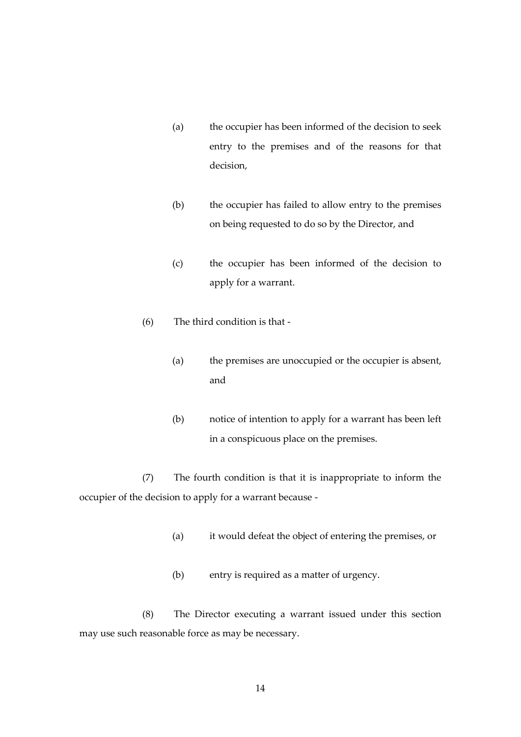- (a) the occupier has been informed of the decision to seek entry to the premises and of the reasons for that decision,
- (b) the occupier has failed to allow entry to the premises on being requested to do so by the Director, and
- (c) the occupier has been informed of the decision to apply for a warrant.
- (6) The third condition is that
	- (a) the premises are unoccupied or the occupier is absent, and
	- (b) notice of intention to apply for a warrant has been left in a conspicuous place on the premises.

(7) The fourth condition is that it is inappropriate to inform the occupier of the decision to apply for a warrant because -

- (a) it would defeat the object of entering the premises, or
- (b) entry is required as a matter of urgency.

(8) The Director executing a warrant issued under this section may use such reasonable force as may be necessary.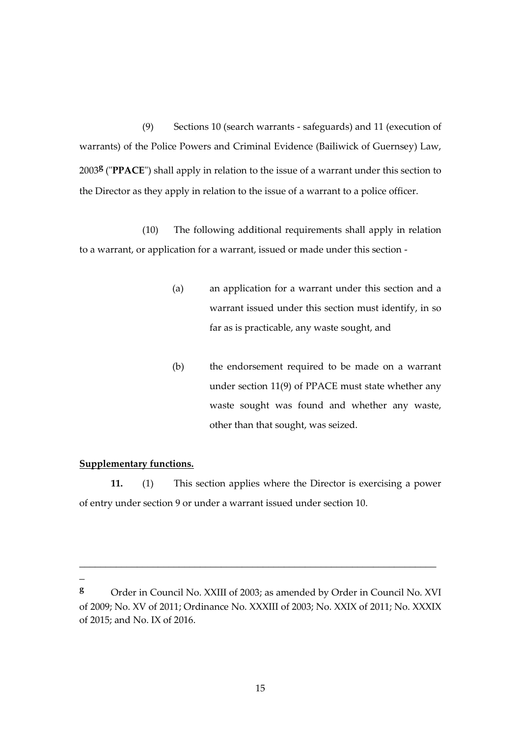(9) Sections 10 (search warrants - safeguards) and 11 (execution of warrants) of the Police Powers and Criminal Evidence (Bailiwick of Guernsey) Law, 2003**<sup>g</sup>** ("**PPACE**") shall apply in relation to the issue of a warrant under this section to the Director as they apply in relation to the issue of a warrant to a police officer.

(10) The following additional requirements shall apply in relation to a warrant, or application for a warrant, issued or made under this section -

- (a) an application for a warrant under this section and a warrant issued under this section must identify, in so far as is practicable, any waste sought, and
- (b) the endorsement required to be made on a warrant under section 11(9) of PPACE must state whether any waste sought was found and whether any waste, other than that sought, was seized.

# **Supplementary functions.**

**11.** (1) This section applies where the Director is exercising a power of entry under section 9 or under a warrant issued under section 10.

 $\overline{a}$ 

\_\_\_\_\_\_\_\_\_\_\_\_\_\_\_\_\_\_\_\_\_\_\_\_\_\_\_\_\_\_\_\_\_\_\_\_\_\_\_\_\_\_\_\_\_\_\_\_\_\_\_\_\_\_\_\_\_\_\_\_\_\_\_\_\_\_\_\_

**<sup>g</sup>** Order in Council No. XXIII of 2003; as amended by Order in Council No. XVI of 2009; No. XV of 2011; Ordinance No. XXXIII of 2003; No. XXIX of 2011; No. XXXIX of 2015; and No. IX of 2016.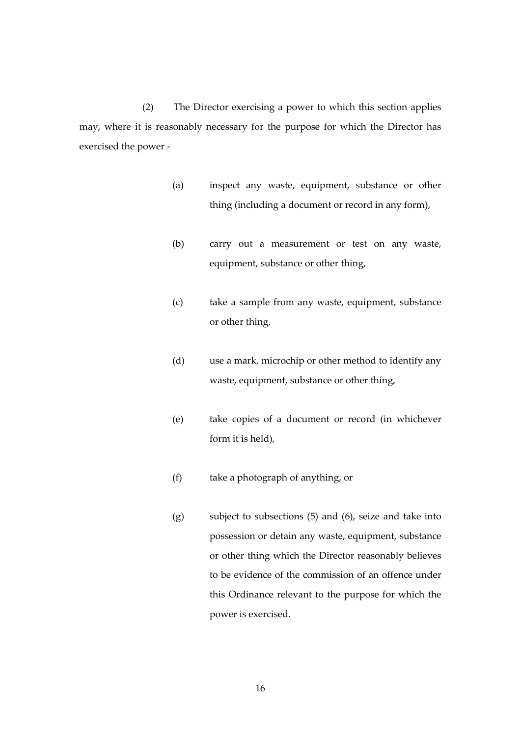(2) The Director exercising a power to which this section applies may, where it is reasonably necessary for the purpose for which the Director has exercised the power -

- (a) inspect any waste, equipment, substance or other thing (including a document or record in any form),
- (b) carry out a measurement or test on any waste, equipment, substance or other thing,
- (c) take a sample from any waste, equipment, substance or other thing,
- (d) use a mark, microchip or other method to identify any waste, equipment, substance or other thing,
- (e) take copies of a document or record (in whichever form it is held),
- (f) take a photograph of anything, or
- (g) subject to subsections (5) and (6), seize and take into possession or detain any waste, equipment, substance or other thing which the Director reasonably believes to be evidence of the commission of an offence under this Ordinance relevant to the purpose for which the power is exercised.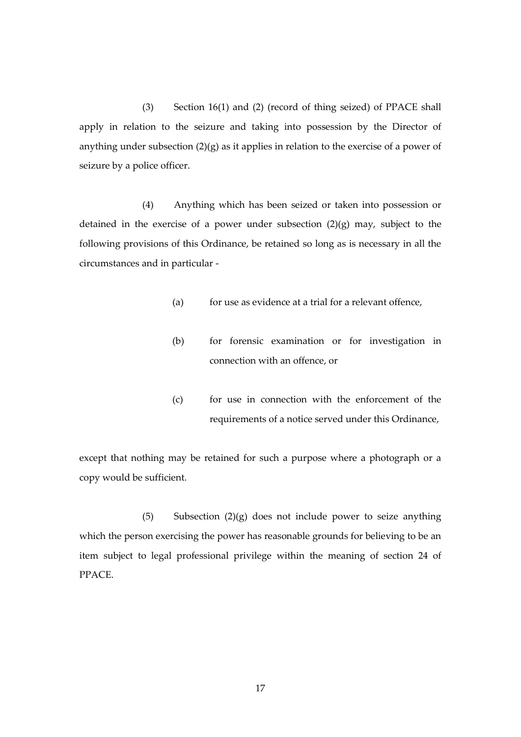(3) Section 16(1) and (2) (record of thing seized) of PPACE shall apply in relation to the seizure and taking into possession by the Director of anything under subsection  $(2)(g)$  as it applies in relation to the exercise of a power of seizure by a police officer.

(4) Anything which has been seized or taken into possession or detained in the exercise of a power under subsection (2)(g) may, subject to the following provisions of this Ordinance, be retained so long as is necessary in all the circumstances and in particular -

- $(a)$  for use as evidence at a trial for a relevant offence,
- (b) for forensic examination or for investigation in connection with an offence, or
- (c) for use in connection with the enforcement of the requirements of a notice served under this Ordinance,

except that nothing may be retained for such a purpose where a photograph or a copy would be sufficient.

(5) Subsection (2)(g) does not include power to seize anything which the person exercising the power has reasonable grounds for believing to be an item subject to legal professional privilege within the meaning of section 24 of PPACE.

17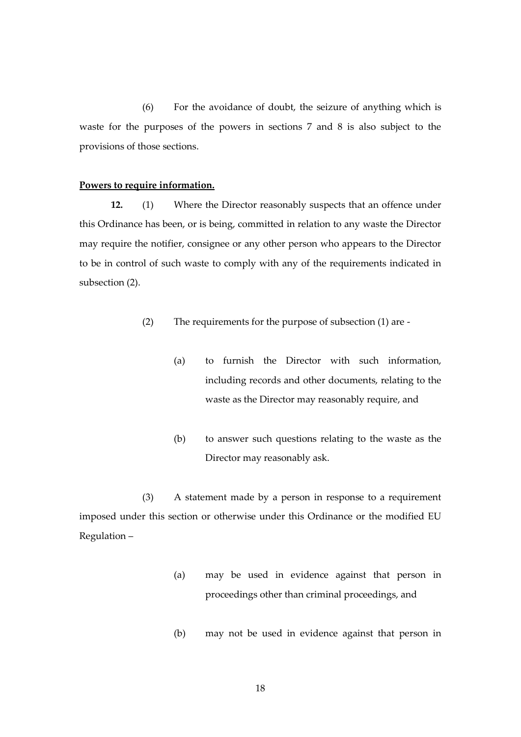(6) For the avoidance of doubt, the seizure of anything which is waste for the purposes of the powers in sections 7 and 8 is also subject to the provisions of those sections.

# **Powers to require information.**

**12.** (1) Where the Director reasonably suspects that an offence under this Ordinance has been, or is being, committed in relation to any waste the Director may require the notifier, consignee or any other person who appears to the Director to be in control of such waste to comply with any of the requirements indicated in subsection (2).

- (2) The requirements for the purpose of subsection (1) are
	- (a) to furnish the Director with such information, including records and other documents, relating to the waste as the Director may reasonably require, and
	- (b) to answer such questions relating to the waste as the Director may reasonably ask.

(3) A statement made by a person in response to a requirement imposed under this section or otherwise under this Ordinance or the modified EU Regulation –

- (a) may be used in evidence against that person in proceedings other than criminal proceedings, and
- (b) may not be used in evidence against that person in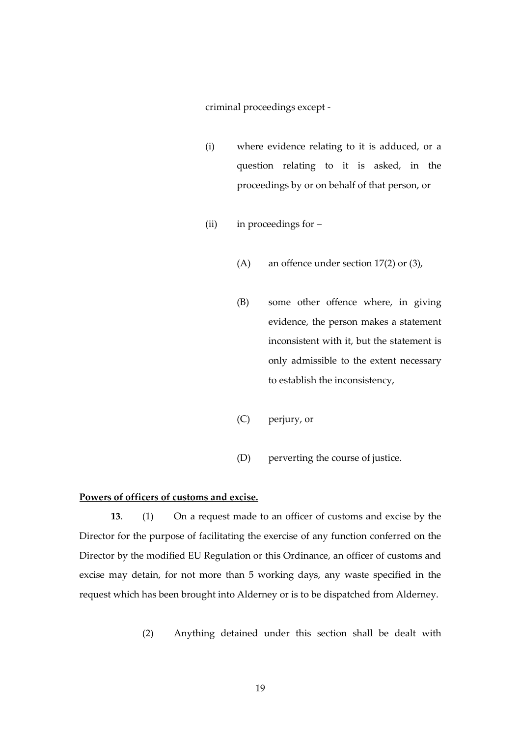criminal proceedings except -

- (i) where evidence relating to it is adduced, or a question relating to it is asked, in the proceedings by or on behalf of that person, or
- (ii) in proceedings for
	- (A) an offence under section 17(2) or (3),
	- (B) some other offence where, in giving evidence, the person makes a statement inconsistent with it, but the statement is only admissible to the extent necessary to establish the inconsistency,
	- (C) perjury, or
	- (D) perverting the course of justice.

#### **Powers of officers of customs and excise.**

**13**. (1) On a request made to an officer of customs and excise by the Director for the purpose of facilitating the exercise of any function conferred on the Director by the modified EU Regulation or this Ordinance, an officer of customs and excise may detain, for not more than 5 working days, any waste specified in the request which has been brought into Alderney or is to be dispatched from Alderney.

(2) Anything detained under this section shall be dealt with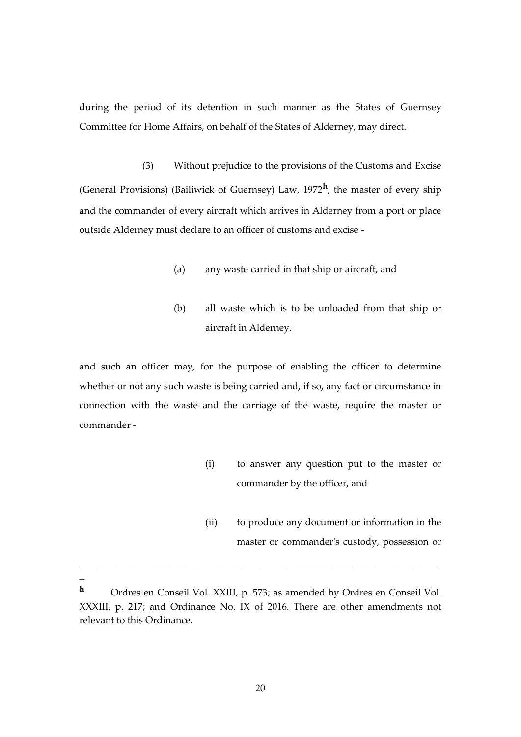during the period of its detention in such manner as the States of Guernsey Committee for Home Affairs, on behalf of the States of Alderney, may direct.

(3) Without prejudice to the provisions of the Customs and Excise (General Provisions) (Bailiwick of Guernsey) Law, 1972**<sup>h</sup>** , the master of every ship and the commander of every aircraft which arrives in Alderney from a port or place outside Alderney must declare to an officer of customs and excise -

- (a) any waste carried in that ship or aircraft, and
- (b) all waste which is to be unloaded from that ship or aircraft in Alderney,

and such an officer may, for the purpose of enabling the officer to determine whether or not any such waste is being carried and, if so, any fact or circumstance in connection with the waste and the carriage of the waste, require the master or commander -

- (i) to answer any question put to the master or commander by the officer, and
- (ii) to produce any document or information in the master or commander's custody, possession or

**<sup>h</sup>** Ordres en Conseil Vol. XXIII, p. 573; as amended by Ordres en Conseil Vol. XXXIII, p. 217; and Ordinance No. IX of 2016. There are other amendments not relevant to this Ordinance.

\_\_\_\_\_\_\_\_\_\_\_\_\_\_\_\_\_\_\_\_\_\_\_\_\_\_\_\_\_\_\_\_\_\_\_\_\_\_\_\_\_\_\_\_\_\_\_\_\_\_\_\_\_\_\_\_\_\_\_\_\_\_\_\_\_\_\_\_

 $\overline{a}$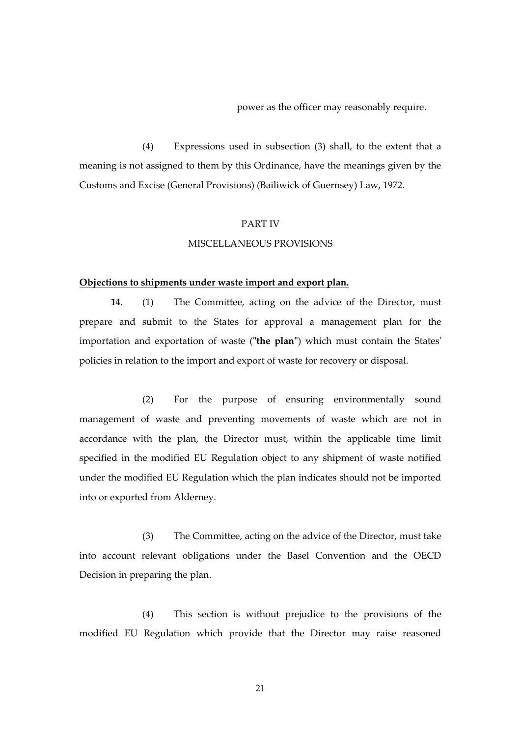power as the officer may reasonably require.

(4) Expressions used in subsection (3) shall, to the extent that a meaning is not assigned to them by this Ordinance, have the meanings given by the Customs and Excise (General Provisions) (Bailiwick of Guernsey) Law, 1972.

#### PART IV

#### MISCELLANEOUS PROVISIONS

#### **Objections to shipments under waste import and export plan.**

**14**. (1) The Committee, acting on the advice of the Director, must prepare and submit to the States for approval a management plan for the importation and exportation of waste (**"the plan"**) which must contain the States' policies in relation to the import and export of waste for recovery or disposal.

(2) For the purpose of ensuring environmentally sound management of waste and preventing movements of waste which are not in accordance with the plan, the Director must, within the applicable time limit specified in the modified EU Regulation object to any shipment of waste notified under the modified EU Regulation which the plan indicates should not be imported into or exported from Alderney.

(3) The Committee, acting on the advice of the Director, must take into account relevant obligations under the Basel Convention and the OECD Decision in preparing the plan.

(4) This section is without prejudice to the provisions of the modified EU Regulation which provide that the Director may raise reasoned

21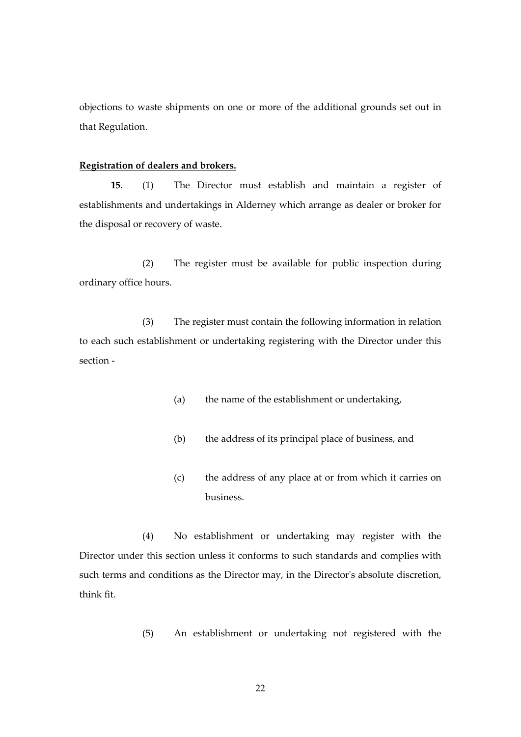objections to waste shipments on one or more of the additional grounds set out in that Regulation.

#### **Registration of dealers and brokers.**

**15**. (1) The Director must establish and maintain a register of establishments and undertakings in Alderney which arrange as dealer or broker for the disposal or recovery of waste.

(2) The register must be available for public inspection during ordinary office hours.

(3) The register must contain the following information in relation to each such establishment or undertaking registering with the Director under this section -

- (a) the name of the establishment or undertaking,
- (b) the address of its principal place of business, and
- (c) the address of any place at or from which it carries on business.

(4) No establishment or undertaking may register with the Director under this section unless it conforms to such standards and complies with such terms and conditions as the Director may, in the Director's absolute discretion, think fit.

(5) An establishment or undertaking not registered with the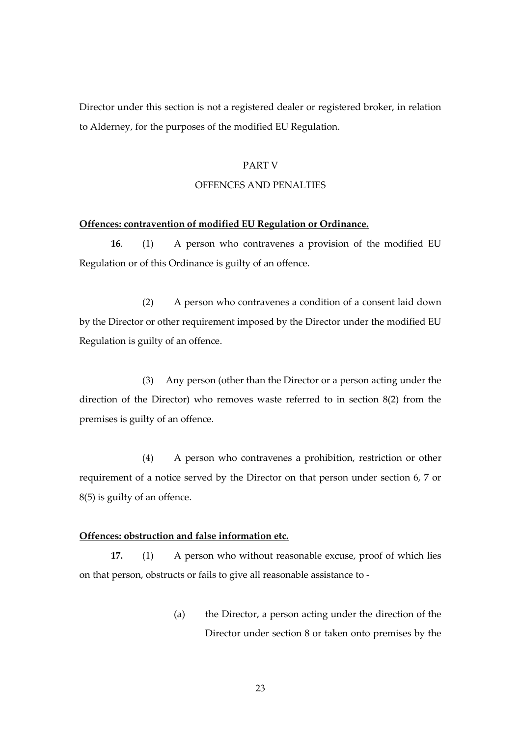Director under this section is not a registered dealer or registered broker, in relation to Alderney, for the purposes of the modified EU Regulation.

#### PART V

#### OFFENCES AND PENALTIES

#### **Offences: contravention of modified EU Regulation or Ordinance.**

**16**. (1) A person who contravenes a provision of the modified EU Regulation or of this Ordinance is guilty of an offence.

(2) A person who contravenes a condition of a consent laid down by the Director or other requirement imposed by the Director under the modified EU Regulation is guilty of an offence.

(3) Any person (other than the Director or a person acting under the direction of the Director) who removes waste referred to in section 8(2) from the premises is guilty of an offence.

(4) A person who contravenes a prohibition, restriction or other requirement of a notice served by the Director on that person under section 6, 7 or 8(5) is guilty of an offence.

#### **Offences: obstruction and false information etc.**

**17.** (1) A person who without reasonable excuse, proof of which lies on that person, obstructs or fails to give all reasonable assistance to -

> (a) the Director, a person acting under the direction of the Director under section 8 or taken onto premises by the

> > 23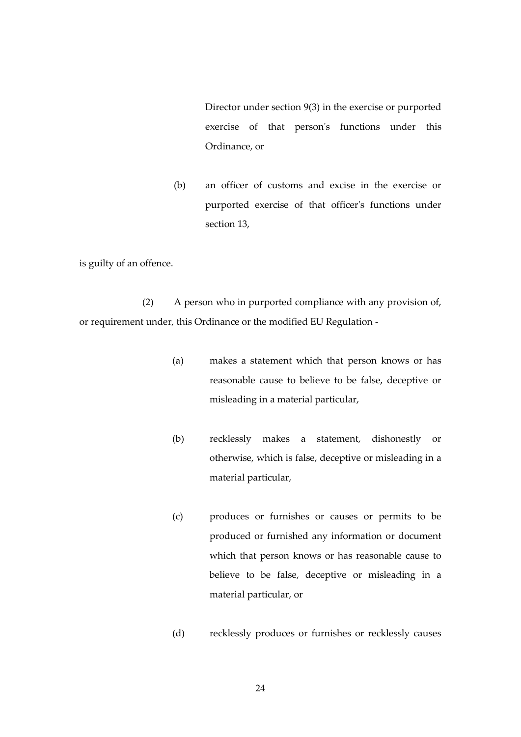Director under section 9(3) in the exercise or purported exercise of that person's functions under this Ordinance, or

(b) an officer of customs and excise in the exercise or purported exercise of that officer's functions under section 13,

is guilty of an offence.

(2) A person who in purported compliance with any provision of, or requirement under, this Ordinance or the modified EU Regulation -

- (a) makes a statement which that person knows or has reasonable cause to believe to be false, deceptive or misleading in a material particular,
- (b) recklessly makes a statement, dishonestly or otherwise, which is false, deceptive or misleading in a material particular,
- (c) produces or furnishes or causes or permits to be produced or furnished any information or document which that person knows or has reasonable cause to believe to be false, deceptive or misleading in a material particular, or
- (d) recklessly produces or furnishes or recklessly causes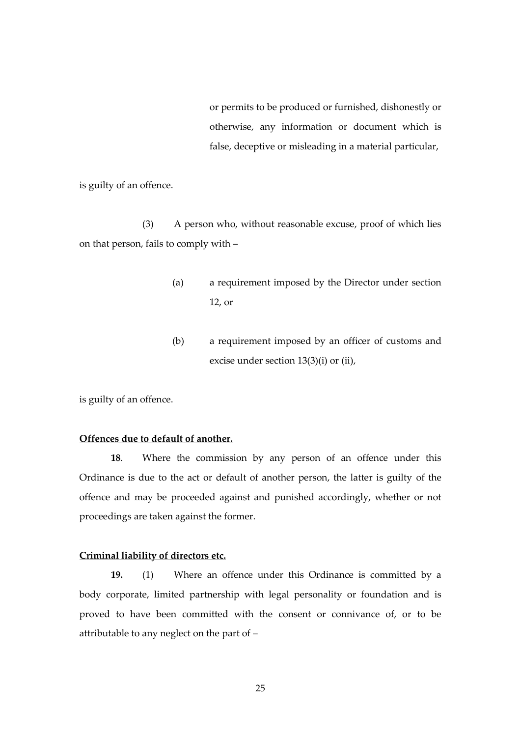or permits to be produced or furnished, dishonestly or otherwise, any information or document which is false, deceptive or misleading in a material particular,

is guilty of an offence.

(3) A person who, without reasonable excuse, proof of which lies on that person, fails to comply with –

- (a) a requirement imposed by the Director under section 12, or
- (b) a requirement imposed by an officer of customs and excise under section 13(3)(i) or (ii),

is guilty of an offence.

#### **Offences due to default of another.**

**18**. Where the commission by any person of an offence under this Ordinance is due to the act or default of another person, the latter is guilty of the offence and may be proceeded against and punished accordingly, whether or not proceedings are taken against the former.

#### **Criminal liability of directors etc.**

**19.** (1) Where an offence under this Ordinance is committed by a body corporate, limited partnership with legal personality or foundation and is proved to have been committed with the consent or connivance of, or to be attributable to any neglect on the part of –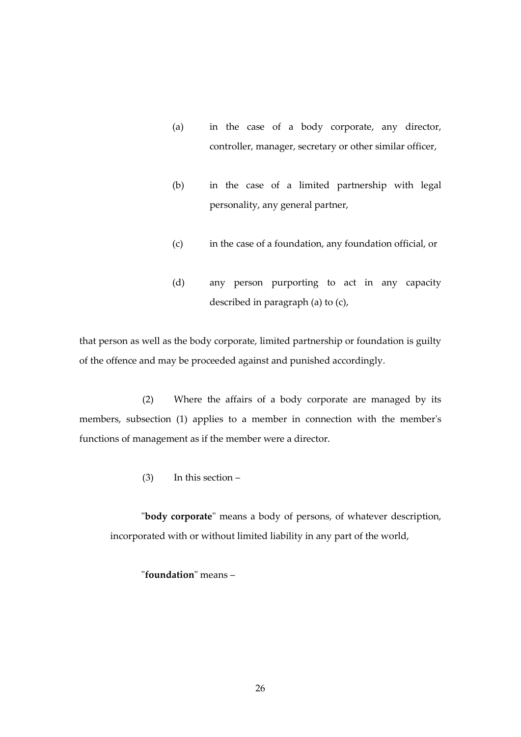- (a) in the case of a body corporate, any director, controller, manager, secretary or other similar officer,
- (b) in the case of a limited partnership with legal personality, any general partner,
- (c) in the case of a foundation, any foundation official, or
- (d) any person purporting to act in any capacity described in paragraph (a) to (c),

that person as well as the body corporate, limited partnership or foundation is guilty of the offence and may be proceeded against and punished accordingly.

(2) Where the affairs of a body corporate are managed by its members, subsection (1) applies to a member in connection with the member's functions of management as if the member were a director.

(3) In this section –

"**body corporate**" means a body of persons, of whatever description, incorporated with or without limited liability in any part of the world,

"**foundation**" means –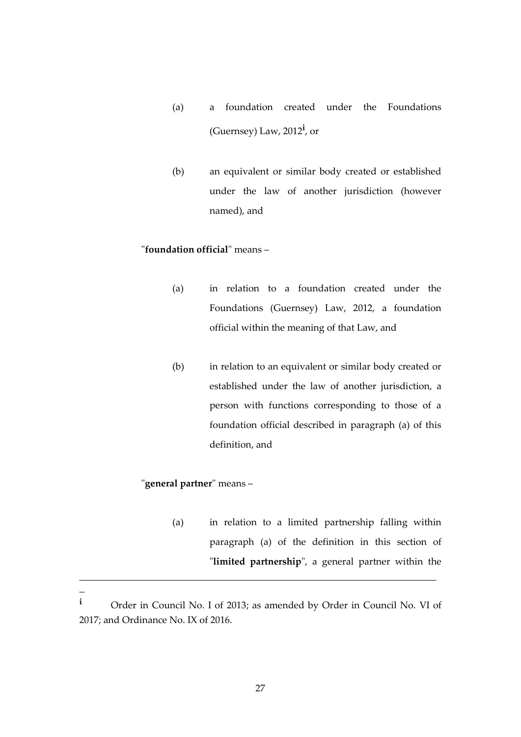- (a) a foundation created under the Foundations (Guernsey) Law, 2012**<sup>i</sup>** , or
- (b) an equivalent or similar body created or established under the law of another jurisdiction (however named), and

# "**foundation official**" means –

- (a) in relation to a foundation created under the Foundations (Guernsey) Law, 2012, a foundation official within the meaning of that Law, and
- (b) in relation to an equivalent or similar body created or established under the law of another jurisdiction, a person with functions corresponding to those of a foundation official described in paragraph (a) of this definition, and

# "**general partner**" means –

 $\overline{a}$ 

(a) in relation to a limited partnership falling within paragraph (a) of the definition in this section of "**limited partnership**", a general partner within the

\_\_\_\_\_\_\_\_\_\_\_\_\_\_\_\_\_\_\_\_\_\_\_\_\_\_\_\_\_\_\_\_\_\_\_\_\_\_\_\_\_\_\_\_\_\_\_\_\_\_\_\_\_\_\_\_\_\_\_\_\_\_\_\_\_\_\_\_

**<sup>i</sup>** Order in Council No. I of 2013; as amended by Order in Council No. VI of 2017; and Ordinance No. IX of 2016.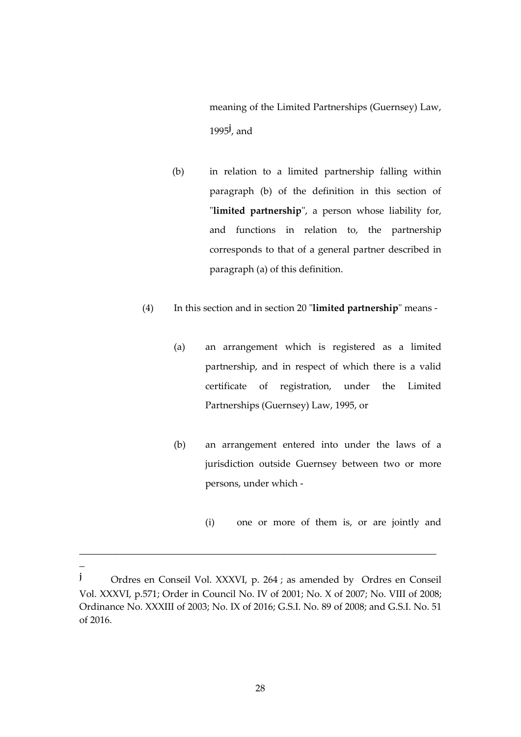meaning of the Limited Partnerships (Guernsey) Law, 1995**<sup>j</sup>** , and

- (b) in relation to a limited partnership falling within paragraph (b) of the definition in this section of "**limited partnership**", a person whose liability for, and functions in relation to, the partnership corresponds to that of a general partner described in paragraph (a) of this definition.
- (4) In this section and in section 20 "**limited partnership**" means
	- (a) an arrangement which is registered as a limited partnership, and in respect of which there is a valid certificate of registration, under the Limited Partnerships (Guernsey) Law, 1995, or
	- (b) an arrangement entered into under the laws of a jurisdiction outside Guernsey between two or more persons, under which -
		- (i) one or more of them is, or are jointly and

\_\_\_\_\_\_\_\_\_\_\_\_\_\_\_\_\_\_\_\_\_\_\_\_\_\_\_\_\_\_\_\_\_\_\_\_\_\_\_\_\_\_\_\_\_\_\_\_\_\_\_\_\_\_\_\_\_\_\_\_\_\_\_\_\_\_\_\_

 $\overline{a}$ 

**<sup>j</sup>** Ordres en Conseil Vol. XXXVI, p. 264 ; as amended by Ordres en Conseil Vol. XXXVI, p.571; Order in Council No. IV of 2001; No. X of 2007; No. VIII of 2008; Ordinance No. XXXIII of 2003; No. IX of 2016; G.S.I. No. 89 of 2008; and G.S.I. No. 51 of 2016.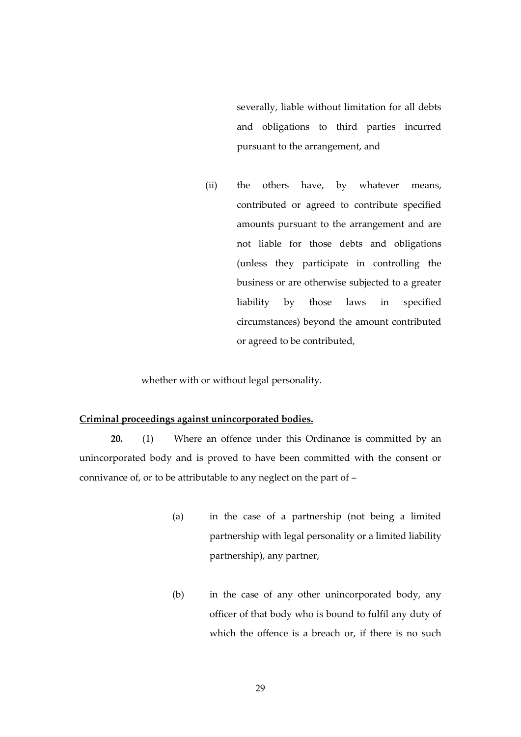severally, liable without limitation for all debts and obligations to third parties incurred pursuant to the arrangement, and

(ii) the others have, by whatever means, contributed or agreed to contribute specified amounts pursuant to the arrangement and are not liable for those debts and obligations (unless they participate in controlling the business or are otherwise subjected to a greater liability by those laws in specified circumstances) beyond the amount contributed or agreed to be contributed,

whether with or without legal personality.

### **Criminal proceedings against unincorporated bodies.**

**20.** (1) Where an offence under this Ordinance is committed by an unincorporated body and is proved to have been committed with the consent or connivance of, or to be attributable to any neglect on the part of –

- (a) in the case of a partnership (not being a limited partnership with legal personality or a limited liability partnership), any partner,
- (b) in the case of any other unincorporated body, any officer of that body who is bound to fulfil any duty of which the offence is a breach or, if there is no such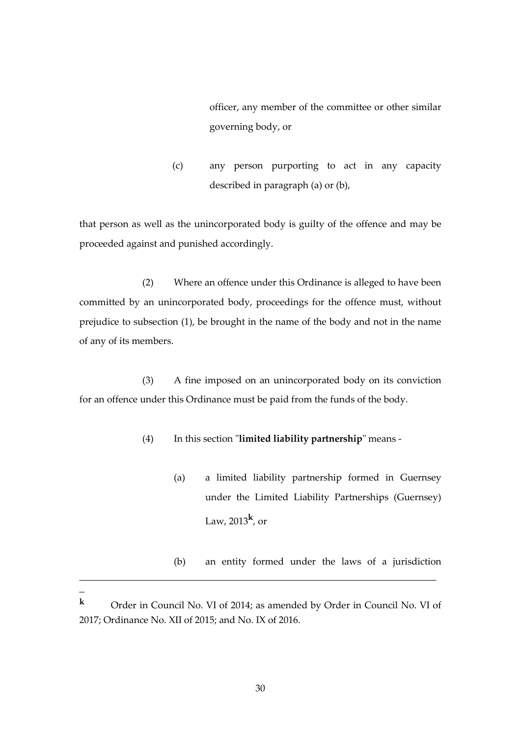officer, any member of the committee or other similar governing body, or

(c) any person purporting to act in any capacity described in paragraph (a) or (b),

that person as well as the unincorporated body is guilty of the offence and may be proceeded against and punished accordingly.

(2) Where an offence under this Ordinance is alleged to have been committed by an unincorporated body, proceedings for the offence must, without prejudice to subsection (1), be brought in the name of the body and not in the name of any of its members.

(3) A fine imposed on an unincorporated body on its conviction for an offence under this Ordinance must be paid from the funds of the body.

- (4) In this section "**limited liability partnership**" means
	- (a) a limited liability partnership formed in Guernsey under the Limited Liability Partnerships (Guernsey) Law, 2013**<sup>k</sup>** , or
	- (b) an entity formed under the laws of a jurisdiction

\_\_\_\_\_\_\_\_\_\_\_\_\_\_\_\_\_\_\_\_\_\_\_\_\_\_\_\_\_\_\_\_\_\_\_\_\_\_\_\_\_\_\_\_\_\_\_\_\_\_\_\_\_\_\_\_\_\_\_\_\_\_\_\_\_\_\_\_

 $\overline{a}$ 

**<sup>k</sup>** Order in Council No. VI of 2014; as amended by Order in Council No. VI of 2017; Ordinance No. XII of 2015; and No. IX of 2016.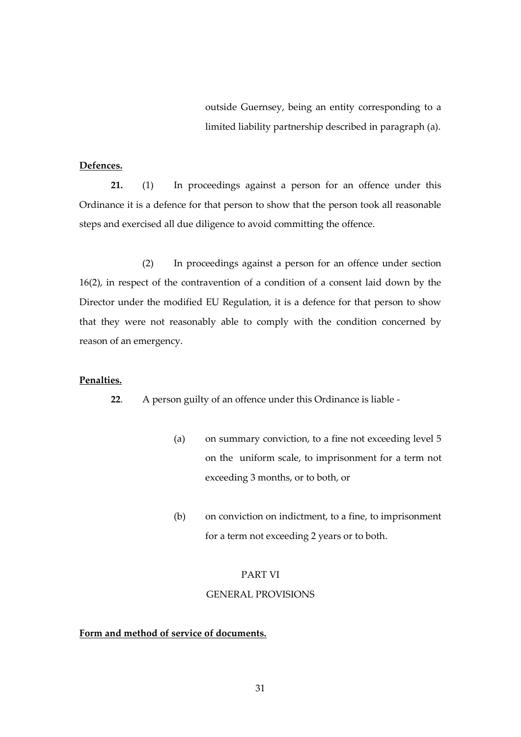outside Guernsey, being an entity corresponding to a limited liability partnership described in paragraph (a).

#### **Defences.**

**21.** (1) In proceedings against a person for an offence under this Ordinance it is a defence for that person to show that the person took all reasonable steps and exercised all due diligence to avoid committing the offence.

(2) In proceedings against a person for an offence under section 16(2), in respect of the contravention of a condition of a consent laid down by the Director under the modified EU Regulation, it is a defence for that person to show that they were not reasonably able to comply with the condition concerned by reason of an emergency.

#### **Penalties.**

**22**. A person guilty of an offence under this Ordinance is liable -

- (a) on summary conviction, to a fine not exceeding level 5 on the uniform scale, to imprisonment for a term not exceeding 3 months, or to both, or
- (b) on conviction on indictment, to a fine, to imprisonment for a term not exceeding 2 years or to both.

#### PART VI

#### GENERAL PROVISIONS

# **Form and method of service of documents.**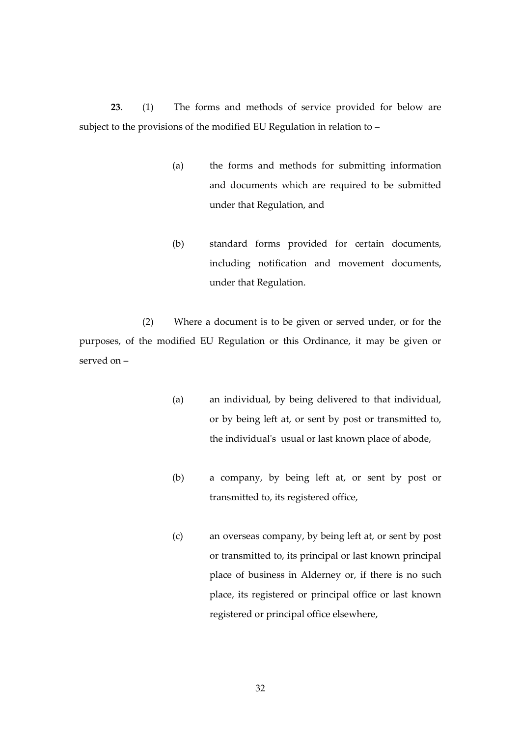**23**. (1) The forms and methods of service provided for below are subject to the provisions of the modified EU Regulation in relation to –

- (a) the forms and methods for submitting information and documents which are required to be submitted under that Regulation, and
- (b) standard forms provided for certain documents, including notification and movement documents, under that Regulation.

(2) Where a document is to be given or served under, or for the purposes, of the modified EU Regulation or this Ordinance, it may be given or served on –

- (a) an individual, by being delivered to that individual, or by being left at, or sent by post or transmitted to, the individual's usual or last known place of abode,
- (b) a company, by being left at, or sent by post or transmitted to, its registered office,
- (c) an overseas company, by being left at, or sent by post or transmitted to, its principal or last known principal place of business in Alderney or, if there is no such place, its registered or principal office or last known registered or principal office elsewhere,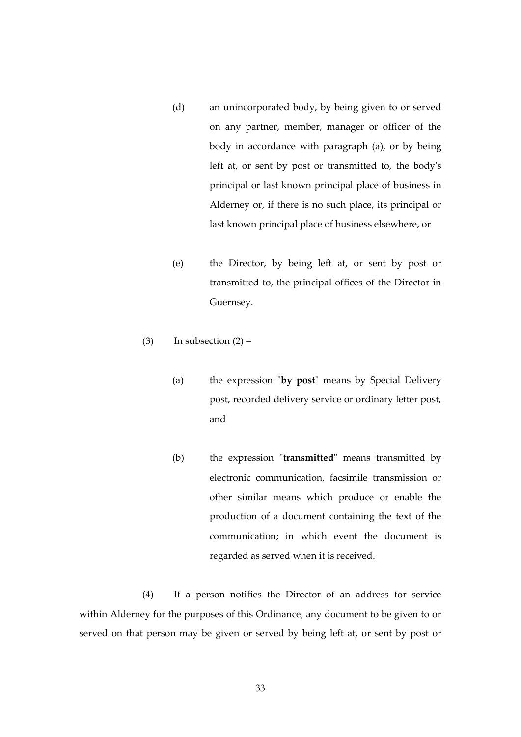- (d) an unincorporated body, by being given to or served on any partner, member, manager or officer of the body in accordance with paragraph (a), or by being left at, or sent by post or transmitted to, the body's principal or last known principal place of business in Alderney or, if there is no such place, its principal or last known principal place of business elsewhere, or
- (e) the Director, by being left at, or sent by post or transmitted to, the principal offices of the Director in Guernsey.

(3) In subsection  $(2)$  –

- (a) the expression "**by post**" means by Special Delivery post, recorded delivery service or ordinary letter post, and
- (b) the expression "**transmitted**" means transmitted by electronic communication, facsimile transmission or other similar means which produce or enable the production of a document containing the text of the communication; in which event the document is regarded as served when it is received.

(4) If a person notifies the Director of an address for service within Alderney for the purposes of this Ordinance, any document to be given to or served on that person may be given or served by being left at, or sent by post or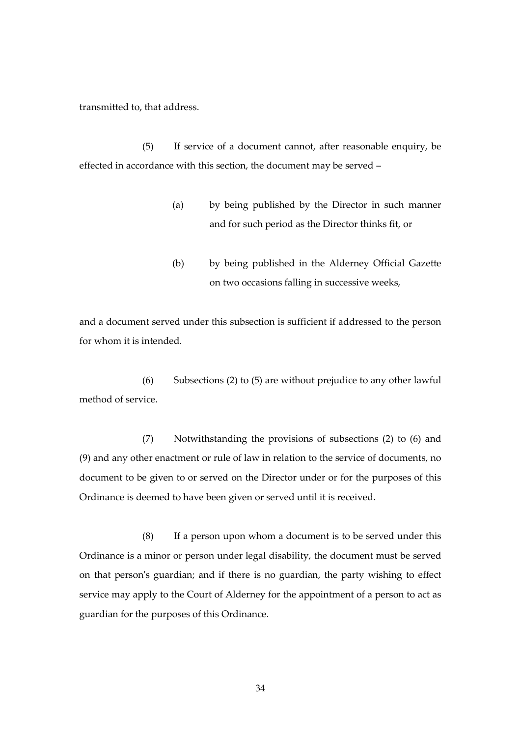transmitted to, that address.

(5) If service of a document cannot, after reasonable enquiry, be effected in accordance with this section, the document may be served –

- (a) by being published by the Director in such manner and for such period as the Director thinks fit, or
- (b) by being published in the Alderney Official Gazette on two occasions falling in successive weeks,

and a document served under this subsection is sufficient if addressed to the person for whom it is intended.

(6) Subsections (2) to (5) are without prejudice to any other lawful method of service.

(7) Notwithstanding the provisions of subsections (2) to (6) and (9) and any other enactment or rule of law in relation to the service of documents, no document to be given to or served on the Director under or for the purposes of this Ordinance is deemed to have been given or served until it is received.

(8) If a person upon whom a document is to be served under this Ordinance is a minor or person under legal disability, the document must be served on that person's guardian; and if there is no guardian, the party wishing to effect service may apply to the Court of Alderney for the appointment of a person to act as guardian for the purposes of this Ordinance.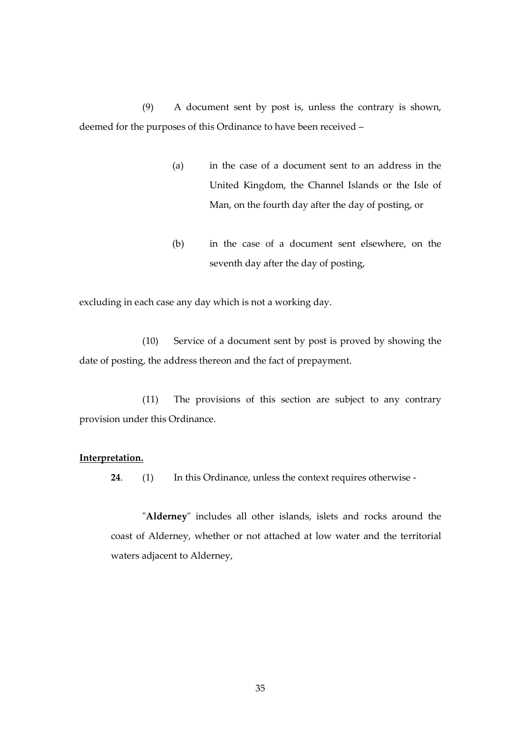(9) A document sent by post is, unless the contrary is shown, deemed for the purposes of this Ordinance to have been received –

- (a) in the case of a document sent to an address in the United Kingdom, the Channel Islands or the Isle of Man, on the fourth day after the day of posting, or
- (b) in the case of a document sent elsewhere, on the seventh day after the day of posting,

excluding in each case any day which is not a working day.

(10) Service of a document sent by post is proved by showing the date of posting, the address thereon and the fact of prepayment.

(11) The provisions of this section are subject to any contrary provision under this Ordinance.

# **Interpretation.**

**24**. (1) In this Ordinance, unless the context requires otherwise -

"**Alderney**" includes all other islands, islets and rocks around the coast of Alderney, whether or not attached at low water and the territorial waters adjacent to Alderney,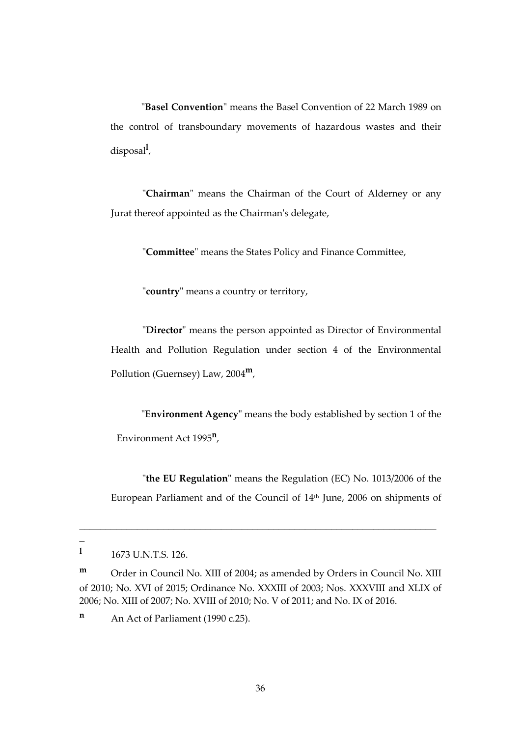"**Basel Convention**" means the Basel Convention of 22 March 1989 on the control of transboundary movements of hazardous wastes and their disposal**<sup>l</sup>** ,

"**Chairman**" means the Chairman of the Court of Alderney or any Jurat thereof appointed as the Chairman's delegate,

"**Committee**" means the States Policy and Finance Committee,

"**country**" means a country or territory,

"**Director**" means the person appointed as Director of Environmental Health and Pollution Regulation under section 4 of the Environmental Pollution (Guernsey) Law, 2004 **m**,

"**Environment Agency**" means the body established by section 1 of the Environment Act 1995**<sup>n</sup>** ,

"**the EU Regulation**" means the Regulation (EC) No. 1013/2006 of the European Parliament and of the Council of 14<sup>th</sup> June, 2006 on shipments of

 $\overline{a}$ 

\_\_\_\_\_\_\_\_\_\_\_\_\_\_\_\_\_\_\_\_\_\_\_\_\_\_\_\_\_\_\_\_\_\_\_\_\_\_\_\_\_\_\_\_\_\_\_\_\_\_\_\_\_\_\_\_\_\_\_\_\_\_\_\_\_\_\_\_

**l** 1673 U.N.T.S. 126.

**m** Order in Council No. XIII of 2004; as amended by Orders in Council No. XIII of 2010; No. XVI of 2015; Ordinance No. XXXIII of 2003; Nos. XXXVIII and XLIX of 2006; No. XIII of 2007; No. XVIII of 2010; No. V of 2011; and No. IX of 2016.

**n** An Act of Parliament (1990 c.25).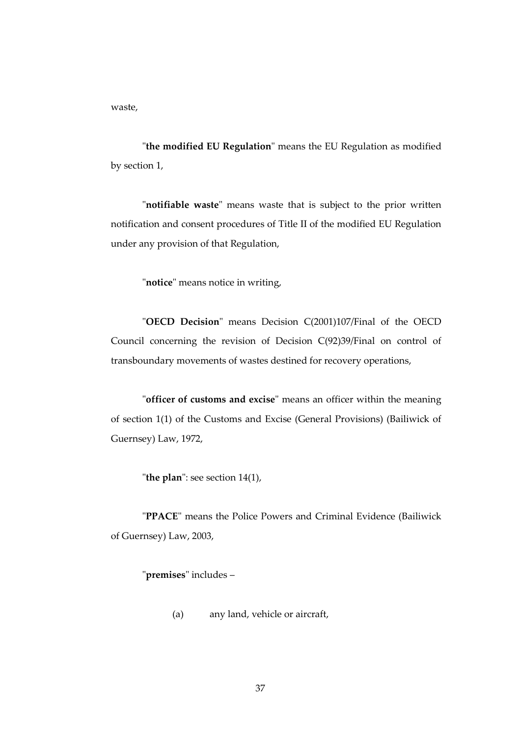waste,

"**the modified EU Regulation**" means the EU Regulation as modified by section 1,

"**notifiable waste**" means waste that is subject to the prior written notification and consent procedures of Title II of the modified EU Regulation under any provision of that Regulation,

"**notice**" means notice in writing,

"**OECD Decision**" means Decision C(2001)107/Final of the OECD Council concerning the revision of Decision C(92)39/Final on control of transboundary movements of wastes destined for recovery operations,

"**officer of customs and excise**" means an officer within the meaning of section 1(1) of the Customs and Excise (General Provisions) (Bailiwick of Guernsey) Law, 1972,

"**the plan**": see section 14(1),

"**PPACE**" means the Police Powers and Criminal Evidence (Bailiwick of Guernsey) Law, 2003,

"**premises**" includes –

(a) any land, vehicle or aircraft,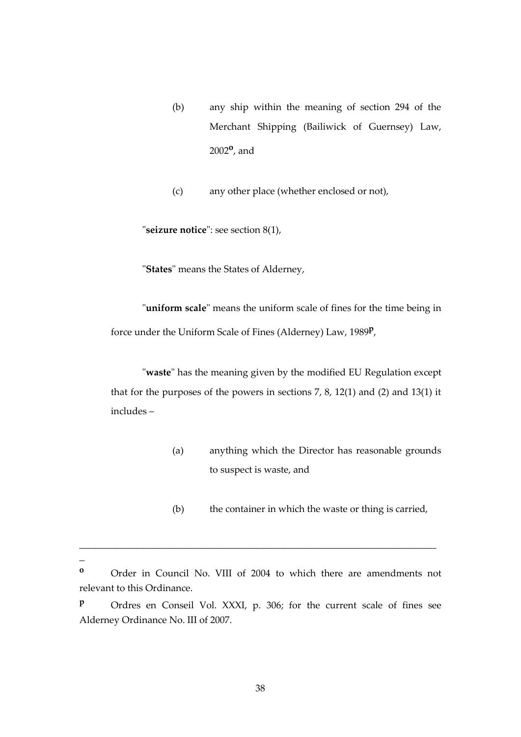(b) any ship within the meaning of section 294 of the Merchant Shipping (Bailiwick of Guernsey) Law, 2002**<sup>o</sup>** , and

(c) any other place (whether enclosed or not),

"**seizure notice**": see section 8(1),

"**States**" means the States of Alderney,

"**uniform scale**" means the uniform scale of fines for the time being in force under the Uniform Scale of Fines (Alderney) Law, 1989**<sup>p</sup>** ,

"**waste**" has the meaning given by the modified EU Regulation except that for the purposes of the powers in sections 7, 8, 12(1) and (2) and 13(1) it includes –

- (a) anything which the Director has reasonable grounds to suspect is waste, and
- (b) the container in which the waste or thing is carried,

\_\_\_\_\_\_\_\_\_\_\_\_\_\_\_\_\_\_\_\_\_\_\_\_\_\_\_\_\_\_\_\_\_\_\_\_\_\_\_\_\_\_\_\_\_\_\_\_\_\_\_\_\_\_\_\_\_\_\_\_\_\_\_\_\_\_\_\_

 $\overline{a}$ 

**<sup>o</sup>** Order in Council No. VIII of 2004 to which there are amendments not relevant to this Ordinance.

**<sup>p</sup>** Ordres en Conseil Vol. XXXI, p. 306; for the current scale of fines see Alderney Ordinance No. III of 2007.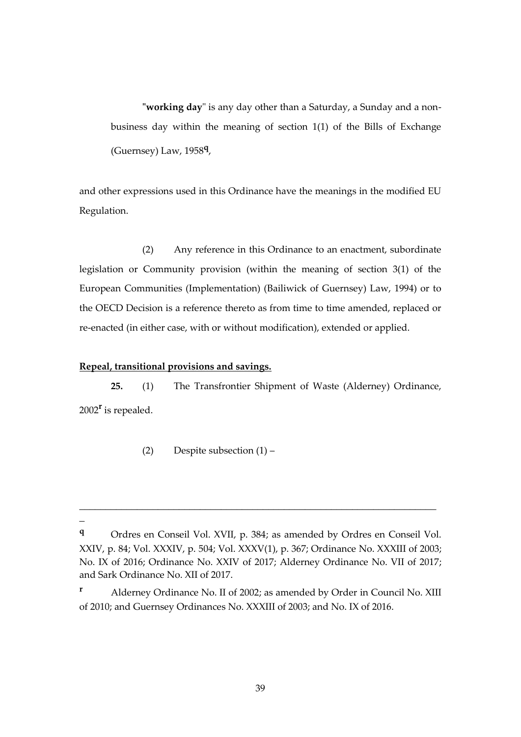**"working day**" is any day other than a Saturday, a Sunday and a nonbusiness day within the meaning of section 1(1) of the Bills of Exchange (Guernsey) Law, 1958**<sup>q</sup>** ,

and other expressions used in this Ordinance have the meanings in the modified EU Regulation.

(2) Any reference in this Ordinance to an enactment, subordinate legislation or Community provision (within the meaning of section 3(1) of the European Communities (Implementation) (Bailiwick of Guernsey) Law, 1994) or to the OECD Decision is a reference thereto as from time to time amended, replaced or re-enacted (in either case, with or without modification), extended or applied.

#### **Repeal, transitional provisions and savings.**

 $\overline{a}$ 

**25.** (1) The Transfrontier Shipment of Waste (Alderney) Ordinance, 2002**<sup>r</sup>** is repealed.

(2) Despite subsection (1) –

\_\_\_\_\_\_\_\_\_\_\_\_\_\_\_\_\_\_\_\_\_\_\_\_\_\_\_\_\_\_\_\_\_\_\_\_\_\_\_\_\_\_\_\_\_\_\_\_\_\_\_\_\_\_\_\_\_\_\_\_\_\_\_\_\_\_\_\_

**<sup>q</sup>** Ordres en Conseil Vol. XVII, p. 384; as amended by Ordres en Conseil Vol. XXIV, p. 84; Vol. XXXIV, p. 504; Vol. XXXV(1), p. 367; Ordinance No. XXXIII of 2003; No. IX of 2016; Ordinance No. XXIV of 2017; Alderney Ordinance No. VII of 2017; and Sark Ordinance No. XII of 2017.

**<sup>r</sup>** Alderney Ordinance No. II of 2002; as amended by Order in Council No. XIII of 2010; and Guernsey Ordinances No. XXXIII of 2003; and No. IX of 2016.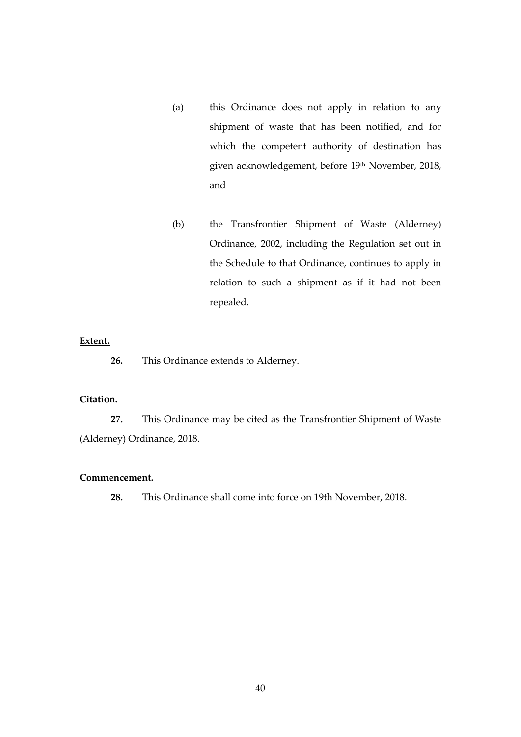- (a) this Ordinance does not apply in relation to any shipment of waste that has been notified, and for which the competent authority of destination has given acknowledgement, before 19<sup>th</sup> November, 2018, and
- (b) the Transfrontier Shipment of Waste (Alderney) Ordinance, 2002, including the Regulation set out in the Schedule to that Ordinance, continues to apply in relation to such a shipment as if it had not been repealed.

### **Extent.**

**26.** This Ordinance extends to Alderney.

# **Citation.**

**27.** This Ordinance may be cited as the Transfrontier Shipment of Waste (Alderney) Ordinance, 2018.

#### **Commencement.**

**28.** This Ordinance shall come into force on 19th November, 2018.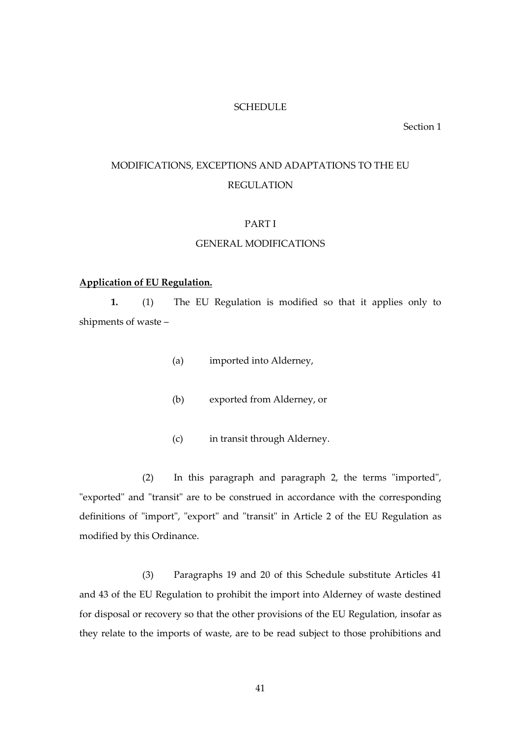#### **SCHEDULE**

Section 1

# MODIFICATIONS, EXCEPTIONS AND ADAPTATIONS TO THE EU REGULATION

# PART I

#### GENERAL MODIFICATIONS

#### **Application of EU Regulation.**

**1.** (1) The EU Regulation is modified so that it applies only to shipments of waste –

- (a) imported into Alderney,
- (b) exported from Alderney, or
- (c) in transit through Alderney.

(2) In this paragraph and paragraph 2, the terms "imported", "exported" and "transit" are to be construed in accordance with the corresponding definitions of "import", "export" and "transit" in Article 2 of the EU Regulation as modified by this Ordinance.

(3) Paragraphs 19 and 20 of this Schedule substitute Articles 41 and 43 of the EU Regulation to prohibit the import into Alderney of waste destined for disposal or recovery so that the other provisions of the EU Regulation, insofar as they relate to the imports of waste, are to be read subject to those prohibitions and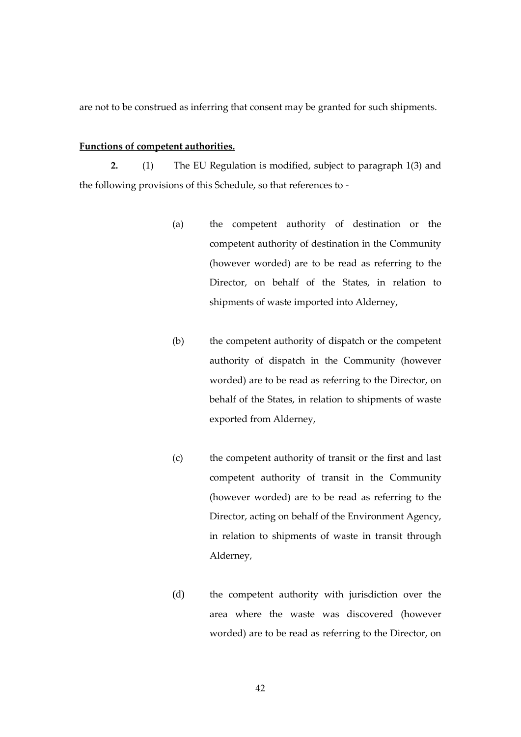are not to be construed as inferring that consent may be granted for such shipments.

#### **Functions of competent authorities.**

**2.** (1) The EU Regulation is modified, subject to paragraph 1(3) and the following provisions of this Schedule, so that references to -

- (a) the competent authority of destination or the competent authority of destination in the Community (however worded) are to be read as referring to the Director, on behalf of the States, in relation to shipments of waste imported into Alderney,
- (b) the competent authority of dispatch or the competent authority of dispatch in the Community (however worded) are to be read as referring to the Director, on behalf of the States, in relation to shipments of waste exported from Alderney,
- (c) the competent authority of transit or the first and last competent authority of transit in the Community (however worded) are to be read as referring to the Director, acting on behalf of the Environment Agency, in relation to shipments of waste in transit through Alderney,
- (d) the competent authority with jurisdiction over the area where the waste was discovered (however worded) are to be read as referring to the Director, on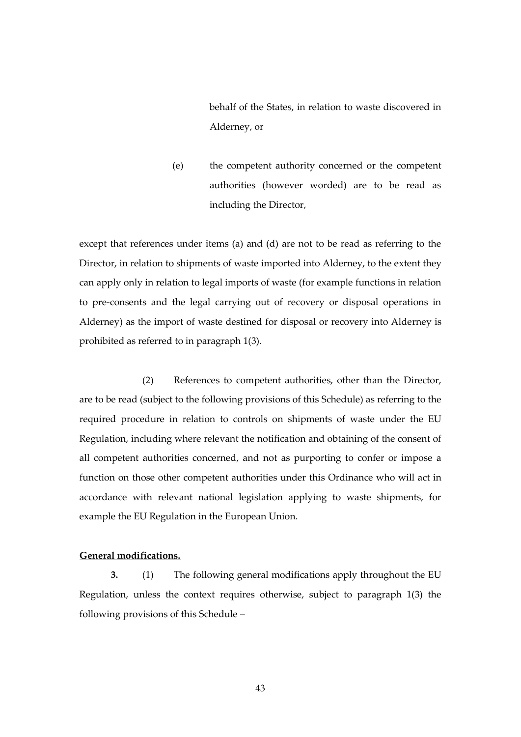behalf of the States, in relation to waste discovered in Alderney, or

(e) the competent authority concerned or the competent authorities (however worded) are to be read as including the Director,

except that references under items (a) and (d) are not to be read as referring to the Director, in relation to shipments of waste imported into Alderney, to the extent they can apply only in relation to legal imports of waste (for example functions in relation to pre-consents and the legal carrying out of recovery or disposal operations in Alderney) as the import of waste destined for disposal or recovery into Alderney is prohibited as referred to in paragraph 1(3).

(2) References to competent authorities, other than the Director, are to be read (subject to the following provisions of this Schedule) as referring to the required procedure in relation to controls on shipments of waste under the EU Regulation, including where relevant the notification and obtaining of the consent of all competent authorities concerned, and not as purporting to confer or impose a function on those other competent authorities under this Ordinance who will act in accordance with relevant national legislation applying to waste shipments, for example the EU Regulation in the European Union.

#### **General modifications.**

**3.** (1) The following general modifications apply throughout the EU Regulation, unless the context requires otherwise, subject to paragraph 1(3) the following provisions of this Schedule –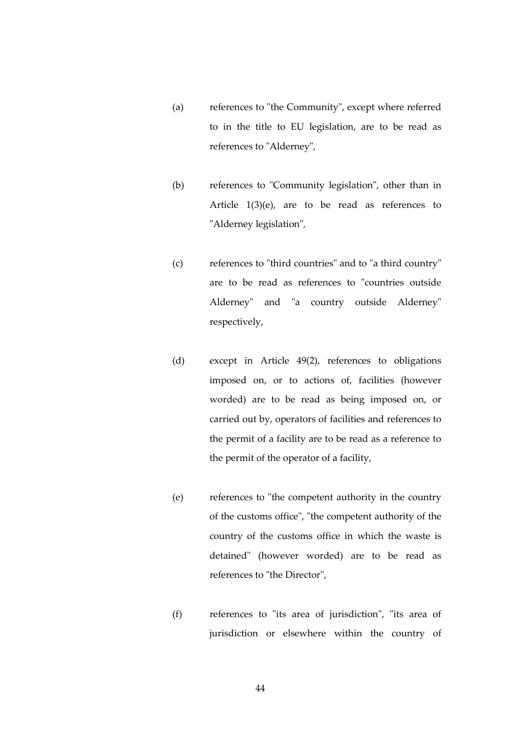- (a) references to "the Community", except where referred to in the title to EU legislation, are to be read as references to "Alderney",
- (b) references to "Community legislation", other than in Article 1(3)(e), are to be read as references to "Alderney legislation",
- (c) references to "third countries" and to "a third country" are to be read as references to "countries outside Alderney" and "a country outside Alderney" respectively,
- (d) except in Article 49(2), references to obligations imposed on, or to actions of, facilities (however worded) are to be read as being imposed on, or carried out by, operators of facilities and references to the permit of a facility are to be read as a reference to the permit of the operator of a facility,
- (e) references to "the competent authority in the country of the customs office", "the competent authority of the country of the customs office in which the waste is detained" (however worded) are to be read as references to "the Director",
- (f) references to "its area of jurisdiction", "its area of jurisdiction or elsewhere within the country of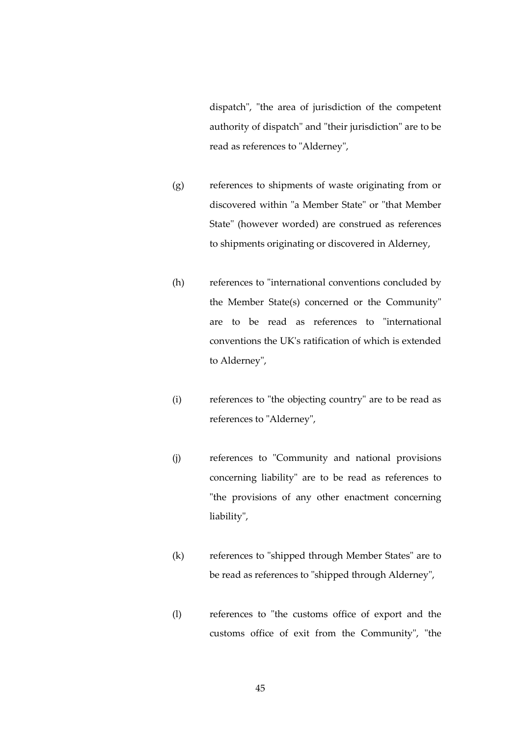dispatch", "the area of jurisdiction of the competent authority of dispatch" and "their jurisdiction" are to be read as references to "Alderney",

- (g) references to shipments of waste originating from or discovered within "a Member State" or "that Member State" (however worded) are construed as references to shipments originating or discovered in Alderney,
- (h) references to "international conventions concluded by the Member State(s) concerned or the Community" are to be read as references to "international conventions the UK's ratification of which is extended to Alderney",
- (i) references to "the objecting country" are to be read as references to "Alderney",
- (j) references to "Community and national provisions concerning liability" are to be read as references to "the provisions of any other enactment concerning liability",
- (k) references to "shipped through Member States" are to be read as references to "shipped through Alderney",
- (l) references to "the customs office of export and the customs office of exit from the Community", "the

45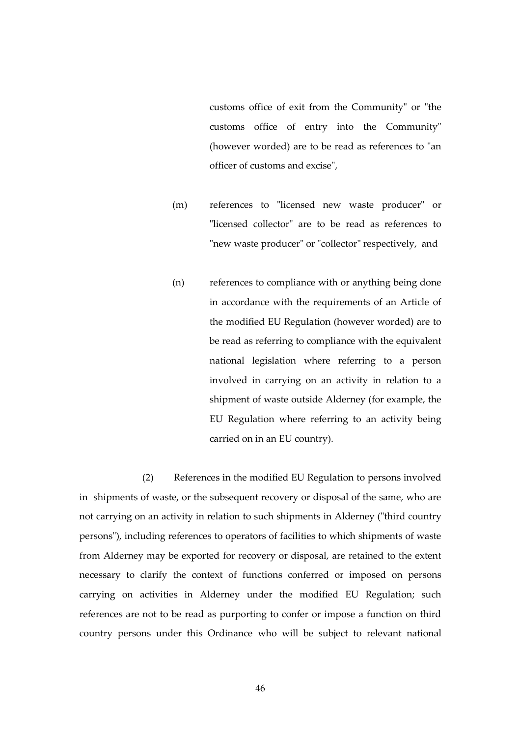customs office of exit from the Community" or "the customs office of entry into the Community" (however worded) are to be read as references to "an officer of customs and excise",

- (m) references to "licensed new waste producer" or "licensed collector" are to be read as references to "new waste producer" or "collector" respectively, and
- (n) references to compliance with or anything being done in accordance with the requirements of an Article of the modified EU Regulation (however worded) are to be read as referring to compliance with the equivalent national legislation where referring to a person involved in carrying on an activity in relation to a shipment of waste outside Alderney (for example, the EU Regulation where referring to an activity being carried on in an EU country).

(2) References in the modified EU Regulation to persons involved in shipments of waste, or the subsequent recovery or disposal of the same, who are not carrying on an activity in relation to such shipments in Alderney ("third country persons"), including references to operators of facilities to which shipments of waste from Alderney may be exported for recovery or disposal, are retained to the extent necessary to clarify the context of functions conferred or imposed on persons carrying on activities in Alderney under the modified EU Regulation; such references are not to be read as purporting to confer or impose a function on third country persons under this Ordinance who will be subject to relevant national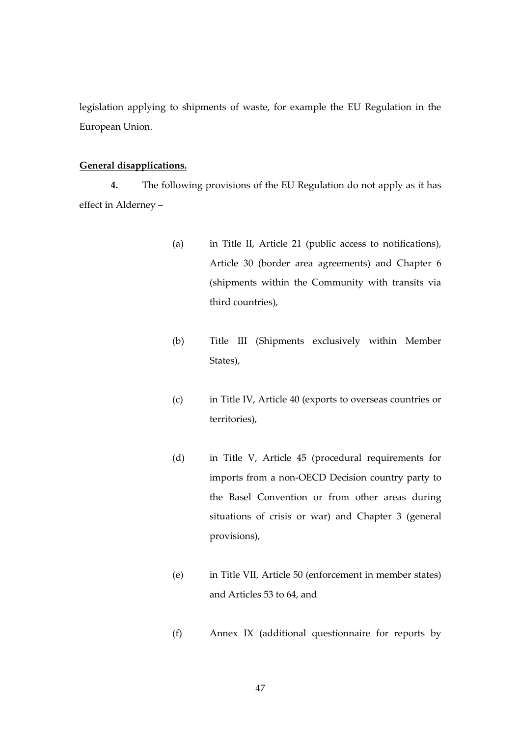legislation applying to shipments of waste, for example the EU Regulation in the European Union.

#### **General disapplications.**

**4.** The following provisions of the EU Regulation do not apply as it has effect in Alderney –

- (a) in Title II, Article 21 (public access to notifications), Article 30 (border area agreements) and Chapter 6 (shipments within the Community with transits via third countries),
- (b) Title III (Shipments exclusively within Member States),
- (c) in Title IV, Article 40 (exports to overseas countries or territories),
- (d) in Title V, Article 45 (procedural requirements for imports from a non-OECD Decision country party to the Basel Convention or from other areas during situations of crisis or war) and Chapter 3 (general provisions),
- (e) in Title VII, Article 50 (enforcement in member states) and Articles 53 to 64, and
- (f) Annex IX (additional questionnaire for reports by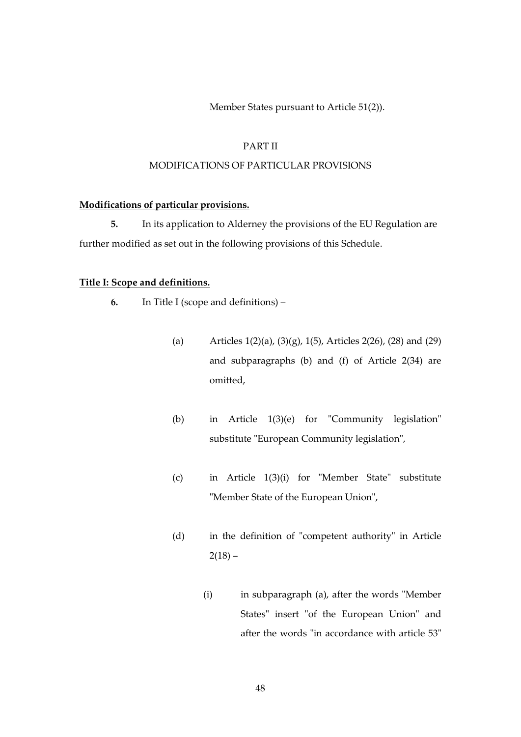Member States pursuant to Article 51(2)).

#### PART II

#### MODIFICATIONS OF PARTICULAR PROVISIONS

#### **Modifications of particular provisions.**

**5.** In its application to Alderney the provisions of the EU Regulation are further modified as set out in the following provisions of this Schedule.

# **Title I: Scope and definitions.**

- **6.** In Title I (scope and definitions)
	- (a) Articles 1(2)(a), (3)(g), 1(5), Articles 2(26), (28) and (29) and subparagraphs (b) and (f) of Article 2(34) are omitted,
	- (b) in Article 1(3)(e) for "Community legislation" substitute "European Community legislation",
	- (c) in Article 1(3)(i) for "Member State" substitute "Member State of the European Union",
	- (d) in the definition of "competent authority" in Article  $2(18) -$ 
		- (i) in subparagraph (a), after the words "Member States" insert "of the European Union" and after the words "in accordance with article 53"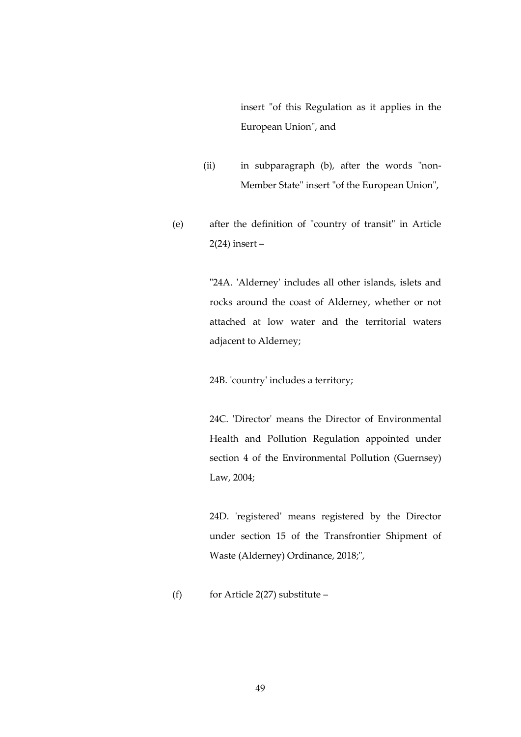insert "of this Regulation as it applies in the European Union", and

- (ii) in subparagraph (b), after the words "non-Member State" insert "of the European Union",
- (e) after the definition of "country of transit" in Article 2(24) insert –

"24A. 'Alderney' includes all other islands, islets and rocks around the coast of Alderney, whether or not attached at low water and the territorial waters adjacent to Alderney;

24B. 'country' includes a territory;

24C. 'Director' means the Director of Environmental Health and Pollution Regulation appointed under section 4 of the Environmental Pollution (Guernsey) Law, 2004;

24D. 'registered' means registered by the Director under section 15 of the Transfrontier Shipment of Waste (Alderney) Ordinance, 2018;",

(f) for Article 2(27) substitute –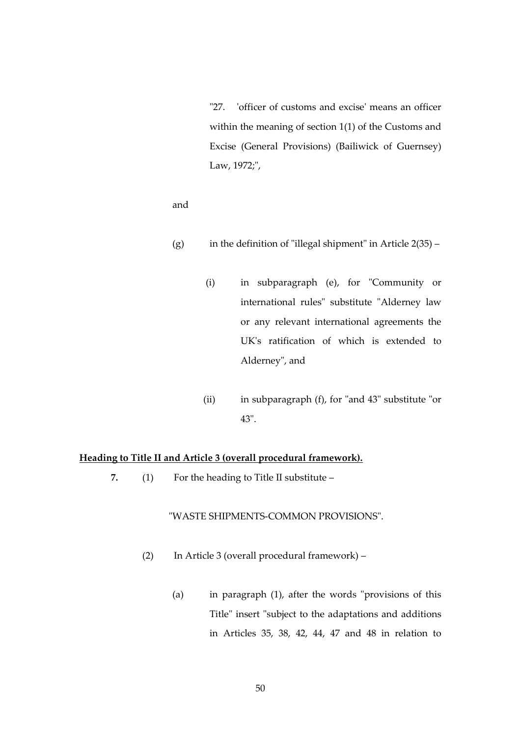"27. 'officer of customs and excise' means an officer within the meaning of section 1(1) of the Customs and Excise (General Provisions) (Bailiwick of Guernsey) Law, 1972;",

and

- (g) in the definition of "illegal shipment" in Article  $2(35)$ 
	- (i) in subparagraph (e), for "Community or international rules" substitute "Alderney law or any relevant international agreements the UK's ratification of which is extended to Alderney", and
	- (ii) in subparagraph (f), for "and 43" substitute "or 43".

# **Heading to Title II and Article 3 (overall procedural framework).**

**7.** (1) For the heading to Title II substitute –

#### "WASTE SHIPMENTS-COMMON PROVISIONS".

- (2) In Article 3 (overall procedural framework)
	- (a) in paragraph (1), after the words "provisions of this Title" insert "subject to the adaptations and additions in Articles 35, 38, 42, 44, 47 and 48 in relation to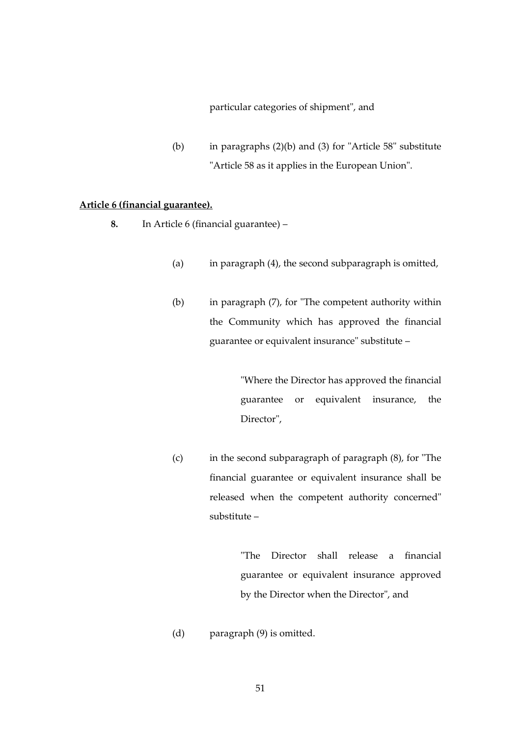#### particular categories of shipment", and

(b) in paragraphs (2)(b) and (3) for "Article 58" substitute "Article 58 as it applies in the European Union".

#### **Article 6 (financial guarantee).**

- **8.** In Article 6 (financial guarantee)
	- (a) in paragraph (4), the second subparagraph is omitted,
	- (b) in paragraph (7), for "The competent authority within the Community which has approved the financial guarantee or equivalent insurance" substitute –

"Where the Director has approved the financial guarantee or equivalent insurance, the Director",

(c) in the second subparagraph of paragraph (8), for "The financial guarantee or equivalent insurance shall be released when the competent authority concerned" substitute –

> "The Director shall release a financial guarantee or equivalent insurance approved by the Director when the Director", and

(d) paragraph (9) is omitted.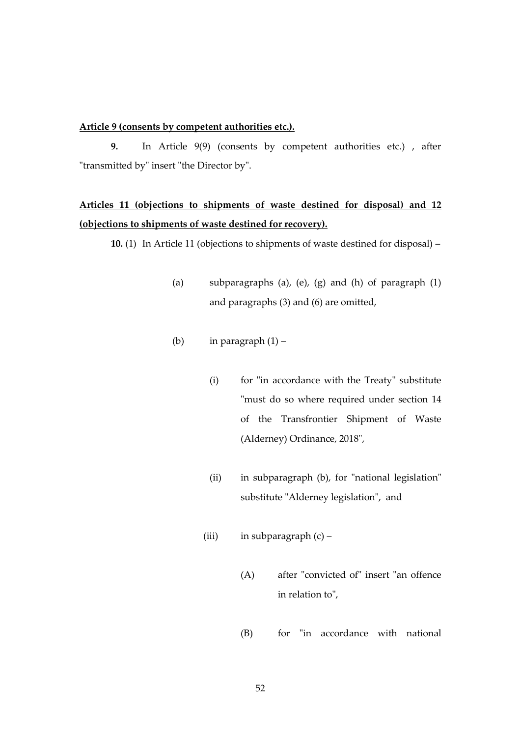#### **Article 9 (consents by competent authorities etc.).**

**9.** In Article 9(9) (consents by competent authorities etc.) , after "transmitted by" insert "the Director by".

# **Articles 11 (objections to shipments of waste destined for disposal) and 12 (objections to shipments of waste destined for recovery).**

**10.** (1) In Article 11 (objections to shipments of waste destined for disposal) –

- (a) subparagraphs (a), (e), (g) and (h) of paragraph (1) and paragraphs (3) and (6) are omitted,
- (b) in paragraph  $(1)$ 
	- (i) for "in accordance with the Treaty" substitute "must do so where required under section 14 of the Transfrontier Shipment of Waste (Alderney) Ordinance, 2018",
	- (ii) in subparagraph (b), for "national legislation" substitute "Alderney legislation", and
	- (iii) in subparagraph (c)
		- (A) after "convicted of" insert "an offence in relation to",
		- (B) for "in accordance with national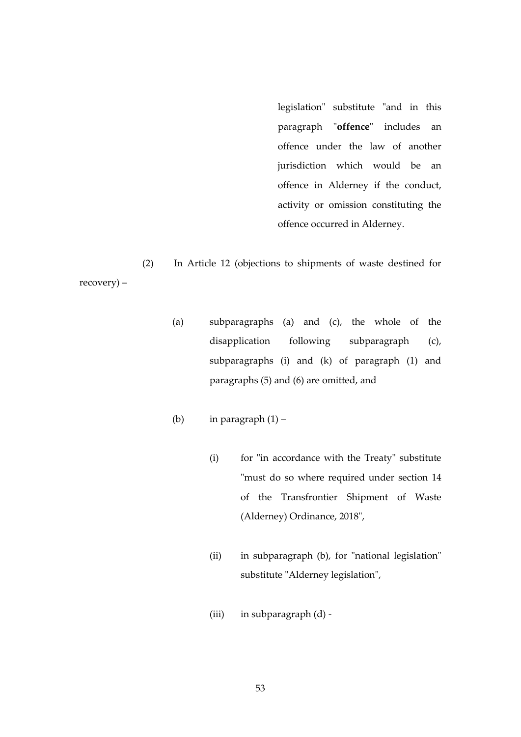legislation" substitute "and in this paragraph "**offence**" includes an offence under the law of another jurisdiction which would be an offence in Alderney if the conduct, activity or omission constituting the offence occurred in Alderney.

(2) In Article 12 (objections to shipments of waste destined for recovery) –

- (a) subparagraphs (a) and (c), the whole of the disapplication following subparagraph (c), subparagraphs (i) and (k) of paragraph (1) and paragraphs (5) and (6) are omitted, and
- (b) in paragraph  $(1)$ 
	- (i) for "in accordance with the Treaty" substitute "must do so where required under section 14 of the Transfrontier Shipment of Waste (Alderney) Ordinance, 2018",
	- (ii) in subparagraph (b), for "national legislation" substitute "Alderney legislation",
	- (iii) in subparagraph (d) -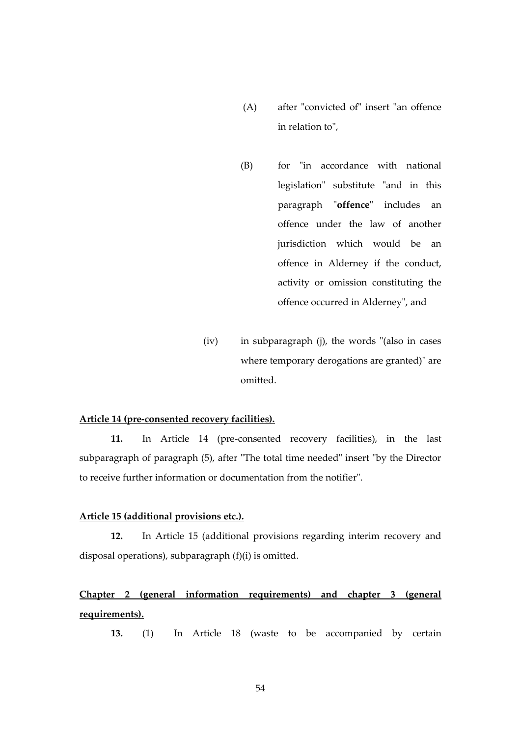- (A) after "convicted of" insert "an offence in relation to",
- (B) for "in accordance with national legislation" substitute "and in this paragraph "**offence**" includes an offence under the law of another jurisdiction which would be an offence in Alderney if the conduct, activity or omission constituting the offence occurred in Alderney", and
- (iv) in subparagraph (j), the words "(also in cases where temporary derogations are granted)" are omitted.

### **Article 14 (pre-consented recovery facilities).**

**11.** In Article 14 (pre-consented recovery facilities), in the last subparagraph of paragraph (5), after "The total time needed" insert "by the Director to receive further information or documentation from the notifier".

#### **Article 15 (additional provisions etc.).**

**12.** In Article 15 (additional provisions regarding interim recovery and disposal operations), subparagraph (f)(i) is omitted.

# **Chapter 2 (general information requirements) and chapter 3 (general requirements).**

**13.** (1) In Article 18 (waste to be accompanied by certain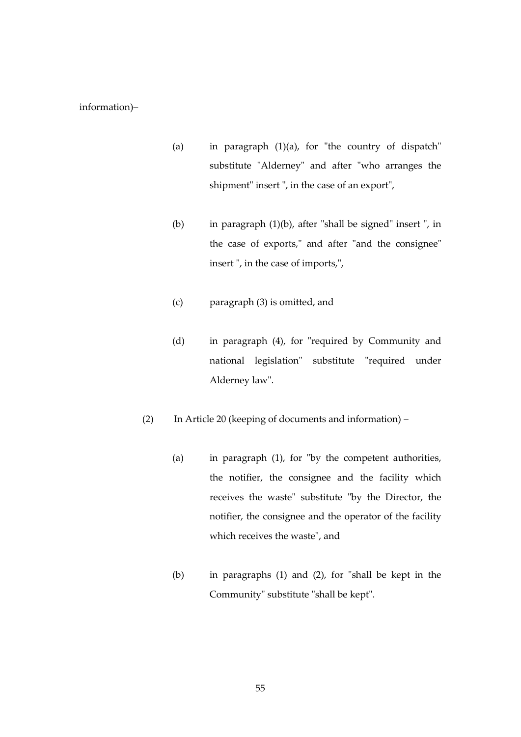#### information)–

- (a) in paragraph (1)(a), for "the country of dispatch" substitute "Alderney" and after "who arranges the shipment" insert ", in the case of an export",
- (b) in paragraph (1)(b), after "shall be signed" insert ", in the case of exports," and after "and the consignee" insert ", in the case of imports,",
- (c) paragraph (3) is omitted, and
- (d) in paragraph (4), for "required by Community and national legislation" substitute "required under Alderney law".
- (2) In Article 20 (keeping of documents and information)
	- (a) in paragraph (1), for "by the competent authorities, the notifier, the consignee and the facility which receives the waste" substitute "by the Director, the notifier, the consignee and the operator of the facility which receives the waste", and
	- (b) in paragraphs (1) and (2), for "shall be kept in the Community" substitute "shall be kept".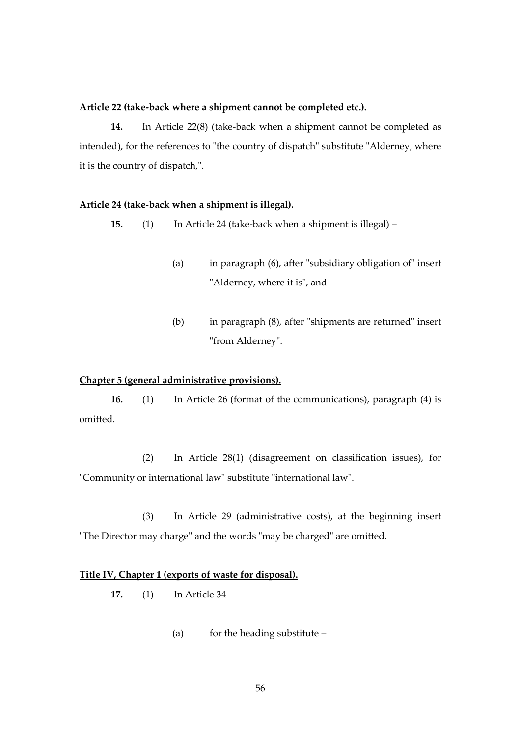#### **Article 22 (take-back where a shipment cannot be completed etc.).**

**14.** In Article 22(8) (take-back when a shipment cannot be completed as intended), for the references to "the country of dispatch" substitute "Alderney, where it is the country of dispatch,".

## **Article 24 (take-back when a shipment is illegal).**

**15.** (1) In Article 24 (take-back when a shipment is illegal) –

- (a) in paragraph (6), after "subsidiary obligation of" insert "Alderney, where it is", and
- (b) in paragraph (8), after "shipments are returned" insert "from Alderney".

#### **Chapter 5 (general administrative provisions).**

**16.** (1) In Article 26 (format of the communications), paragraph (4) is omitted.

(2) In Article 28(1) (disagreement on classification issues), for "Community or international law" substitute "international law".

(3) In Article 29 (administrative costs), at the beginning insert "The Director may charge" and the words "may be charged" are omitted.

### **Title IV, Chapter 1 (exports of waste for disposal).**

**17.** (1) In Article 34 –

(a) for the heading substitute  $-$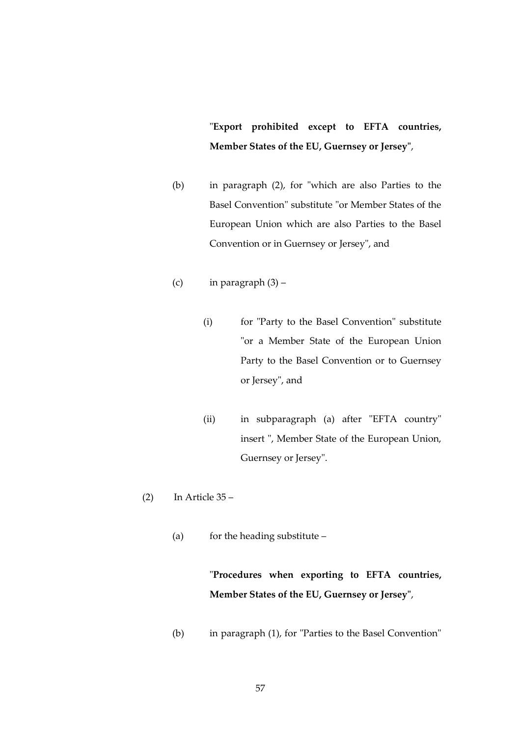"**Export prohibited except to EFTA countries, Member States of the EU, Guernsey or Jersey"**,

- (b) in paragraph (2), for "which are also Parties to the Basel Convention" substitute "or Member States of the European Union which are also Parties to the Basel Convention or in Guernsey or Jersey", and
- (c) in paragraph  $(3)$ 
	- (i) for "Party to the Basel Convention" substitute "or a Member State of the European Union Party to the Basel Convention or to Guernsey or Jersey", and
	- (ii) in subparagraph (a) after "EFTA country" insert ", Member State of the European Union, Guernsey or Jersey".
- $(2)$  In Article 35
	- (a) for the heading substitute –

"**Procedures when exporting to EFTA countries, Member States of the EU, Guernsey or Jersey"**,

(b) in paragraph (1), for "Parties to the Basel Convention"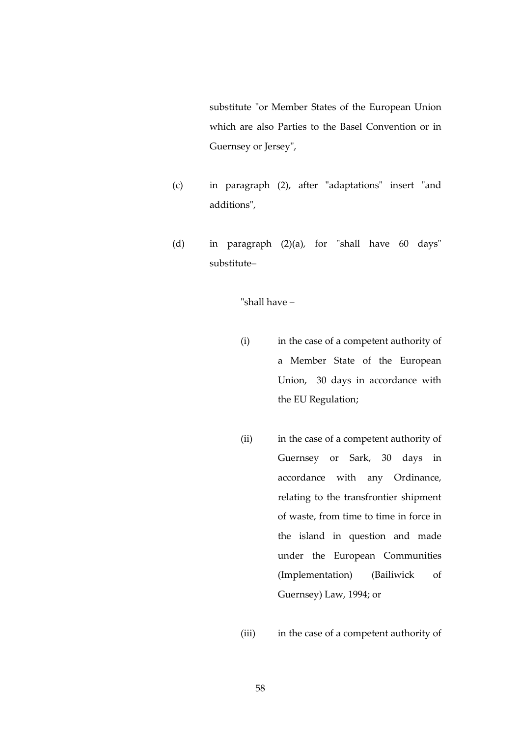substitute "or Member States of the European Union which are also Parties to the Basel Convention or in Guernsey or Jersey",

- (c) in paragraph (2), after "adaptations" insert "and additions",
- (d) in paragraph (2)(a), for "shall have 60 days" substitute–

"shall have –

- (i) in the case of a competent authority of a Member State of the European Union, 30 days in accordance with the EU Regulation;
- (ii) in the case of a competent authority of Guernsey or Sark, 30 days in accordance with any Ordinance, relating to the transfrontier shipment of waste, from time to time in force in the island in question and made under the European Communities (Implementation) (Bailiwick of Guernsey) Law, 1994; or

(iii) in the case of a competent authority of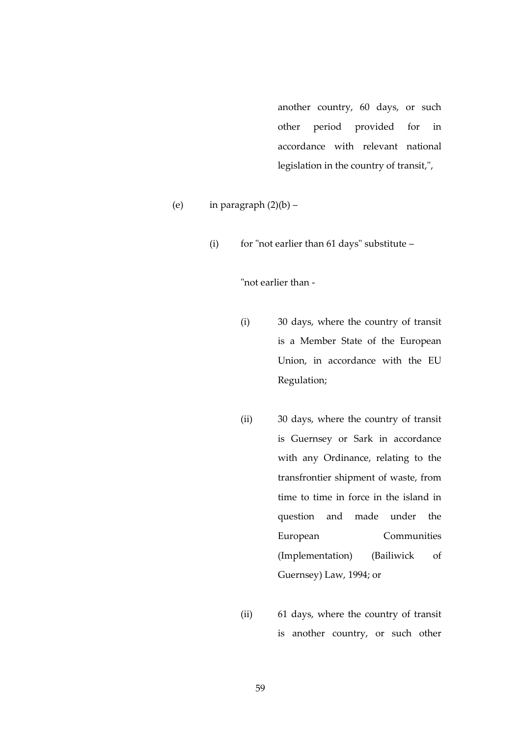another country, 60 days, or such other period provided for in accordance with relevant national legislation in the country of transit,",

- (e) in paragraph  $(2)(b)$ 
	- (i) for "not earlier than 61 days" substitute –

"not earlier than -

- (i) 30 days, where the country of transit is a Member State of the European Union, in accordance with the EU Regulation;
- (ii) 30 days, where the country of transit is Guernsey or Sark in accordance with any Ordinance, relating to the transfrontier shipment of waste, from time to time in force in the island in question and made under the European Communities (Implementation) (Bailiwick of Guernsey) Law, 1994; or
- (ii) 61 days, where the country of transit is another country, or such other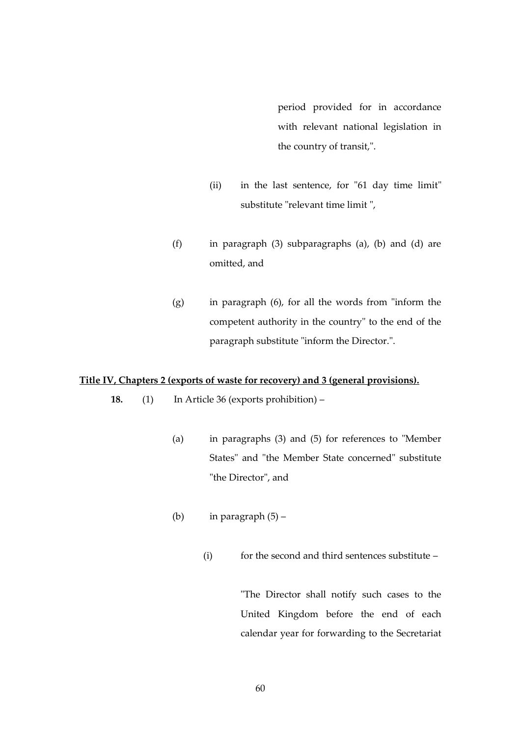period provided for in accordance with relevant national legislation in the country of transit,".

- (ii) in the last sentence, for "61 day time limit" substitute "relevant time limit ",
- (f) in paragraph (3) subparagraphs (a), (b) and (d) are omitted, and
- (g) in paragraph (6), for all the words from "inform the competent authority in the country" to the end of the paragraph substitute "inform the Director.".

# **Title IV, Chapters 2 (exports of waste for recovery) and 3 (general provisions).**

- **18.** (1) In Article 36 (exports prohibition)
	- (a) in paragraphs (3) and (5) for references to "Member States" and "the Member State concerned" substitute "the Director", and
	- (b) in paragraph  $(5)$ 
		- (i) for the second and third sentences substitute –

"The Director shall notify such cases to the United Kingdom before the end of each calendar year for forwarding to the Secretariat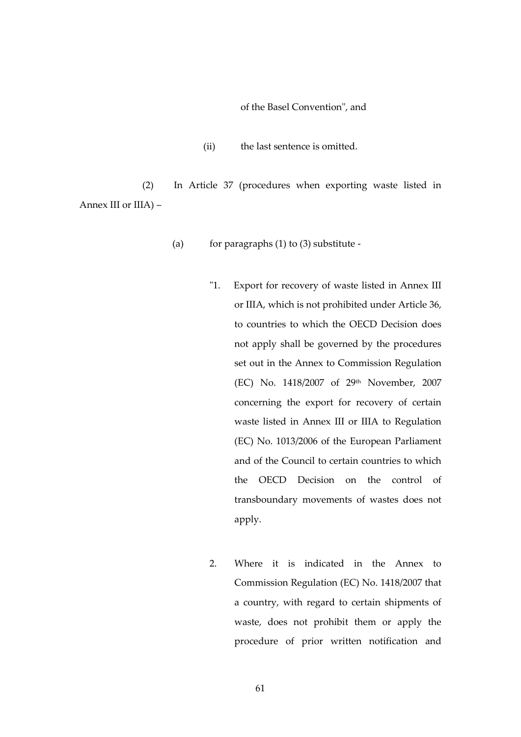of the Basel Convention", and

(ii) the last sentence is omitted.

(2) In Article 37 (procedures when exporting waste listed in Annex III or IIIA) –

- (a) for paragraphs  $(1)$  to  $(3)$  substitute -
	- "1. Export for recovery of waste listed in Annex III or IIIA, which is not prohibited under Article 36, to countries to which the OECD Decision does not apply shall be governed by the procedures set out in the Annex to Commission Regulation (EC) No. 1418/2007 of 29th November, 2007 concerning the export for recovery of certain waste listed in Annex III or IIIA to Regulation (EC) No. 1013/2006 of the European Parliament and of the Council to certain countries to which the OECD Decision on the control of transboundary movements of wastes does not apply.
	- 2. Where it is indicated in the Annex to Commission Regulation (EC) No. 1418/2007 that a country, with regard to certain shipments of waste, does not prohibit them or apply the procedure of prior written notification and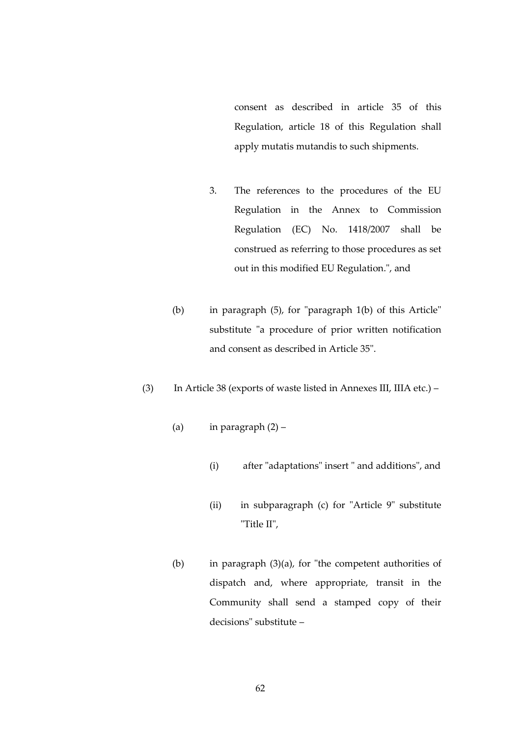consent as described in article 35 of this Regulation, article 18 of this Regulation shall apply mutatis mutandis to such shipments.

- 3. The references to the procedures of the EU Regulation in the Annex to Commission Regulation (EC) No. 1418/2007 shall be construed as referring to those procedures as set out in this modified EU Regulation.", and
- (b) in paragraph (5), for "paragraph 1(b) of this Article" substitute "a procedure of prior written notification and consent as described in Article 35".
- (3) In Article 38 (exports of waste listed in Annexes III, IIIA etc.)
	- (a) in paragraph  $(2)$ 
		- (i) after "adaptations" insert " and additions", and
		- (ii) in subparagraph (c) for "Article 9" substitute "Title II",
	- (b) in paragraph (3)(a), for "the competent authorities of dispatch and, where appropriate, transit in the Community shall send a stamped copy of their decisions" substitute –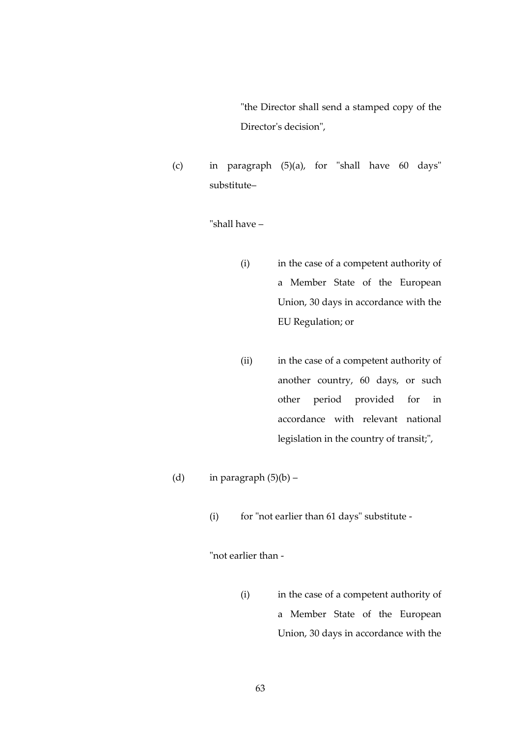"the Director shall send a stamped copy of the Director's decision",

(c) in paragraph (5)(a), for "shall have 60 days" substitute–

"shall have –

- (i) in the case of a competent authority of a Member State of the European Union, 30 days in accordance with the EU Regulation; or
- (ii) in the case of a competent authority of another country, 60 days, or such other period provided for in accordance with relevant national legislation in the country of transit;",
- (d) in paragraph  $(5)(b)$ 
	- (i) for "not earlier than 61 days" substitute -

"not earlier than -

(i) in the case of a competent authority of a Member State of the European Union, 30 days in accordance with the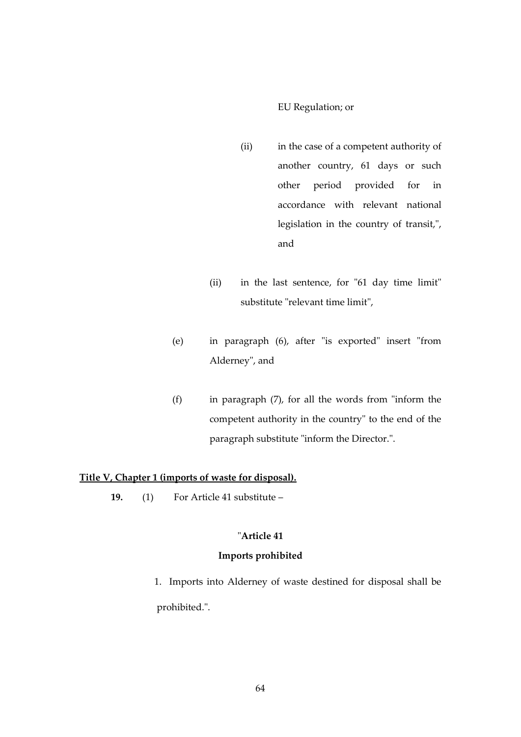#### EU Regulation; or

- (ii) in the case of a competent authority of another country, 61 days or such other period provided for in accordance with relevant national legislation in the country of transit,", and
- (ii) in the last sentence, for "61 day time limit" substitute "relevant time limit",
- (e) in paragraph (6), after "is exported" insert "from Alderney", and
- (f) in paragraph (7), for all the words from "inform the competent authority in the country" to the end of the paragraph substitute "inform the Director.".

# **Title V, Chapter 1 (imports of waste for disposal).**

**19.** (1) For Article 41 substitute –

# "**Article 41**

#### **Imports prohibited**

 1. Imports into Alderney of waste destined for disposal shall be prohibited.".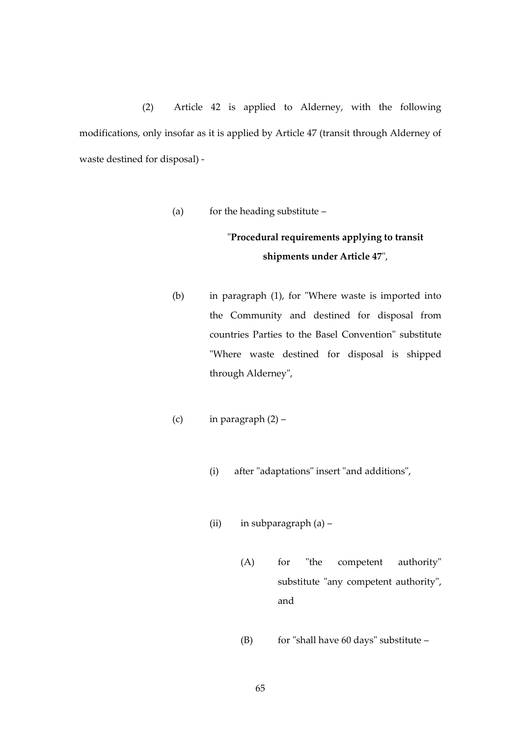(2) Article 42 is applied to Alderney, with the following modifications, only insofar as it is applied by Article 47 (transit through Alderney of waste destined for disposal) -

(a) for the heading substitute –

# "**Procedural requirements applying to transit shipments under Article 47**",

- (b) in paragraph (1), for "Where waste is imported into the Community and destined for disposal from countries Parties to the Basel Convention" substitute "Where waste destined for disposal is shipped through Alderney",
- (c) in paragraph  $(2)$ 
	- (i) after "adaptations" insert "and additions",
	- (ii) in subparagraph (a)
		- (A) for "the competent authority" substitute "any competent authority", and
		- (B) for "shall have  $60 \text{ days}$ " substitute –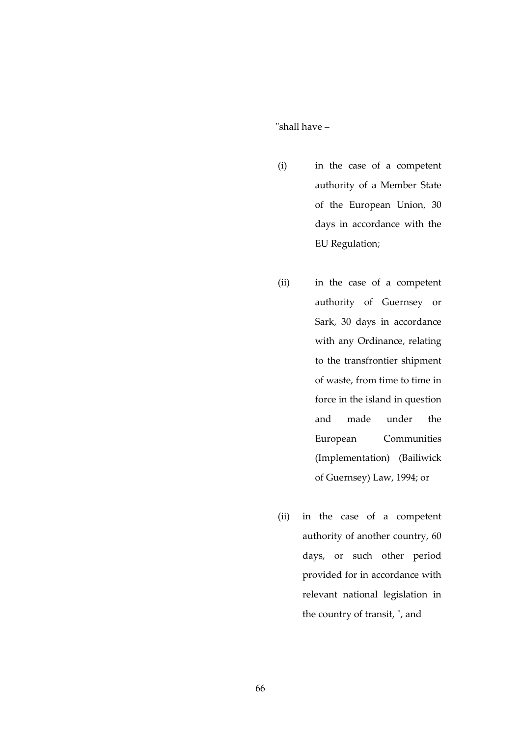"shall have –

- (i) in the case of a competent authority of a Member State of the European Union, 30 days in accordance with the EU Regulation;
- (ii) in the case of a competent authority of Guernsey or Sark, 30 days in accordance with any Ordinance, relating to the transfrontier shipment of waste, from time to time in force in the island in question and made under the European Communities (Implementation) (Bailiwick of Guernsey) Law, 1994; or
- (ii) in the case of a competent authority of another country, 60 days, or such other period provided for in accordance with relevant national legislation in the country of transit, ", and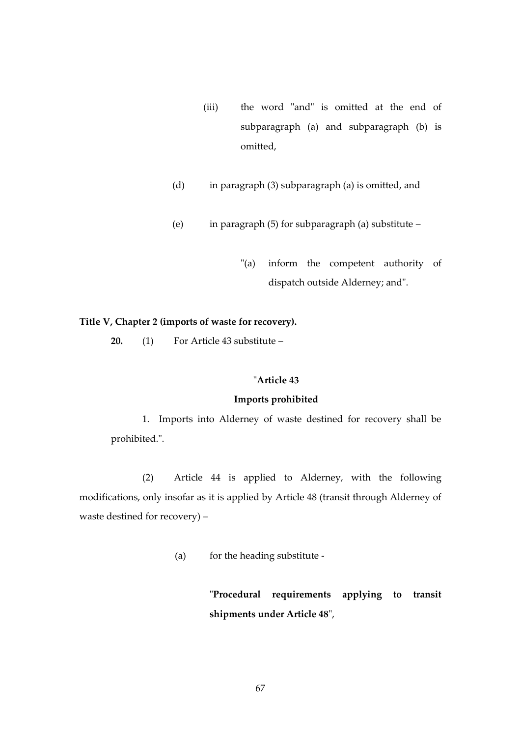- (iii) the word "and" is omitted at the end of subparagraph (a) and subparagraph (b) is omitted,
- (d) in paragraph (3) subparagraph (a) is omitted, and
- (e) in paragraph (5) for subparagraph (a) substitute
	- "(a) inform the competent authority of dispatch outside Alderney; and".

# **Title V, Chapter 2 (imports of waste for recovery).**

**20.** (1) For Article 43 substitute –

# "**Article 43**

#### **Imports prohibited**

1. Imports into Alderney of waste destined for recovery shall be prohibited.".

(2) Article 44 is applied to Alderney, with the following modifications, only insofar as it is applied by Article 48 (transit through Alderney of waste destined for recovery) –

(a) for the heading substitute -

"**Procedural requirements applying to transit shipments under Article 48**",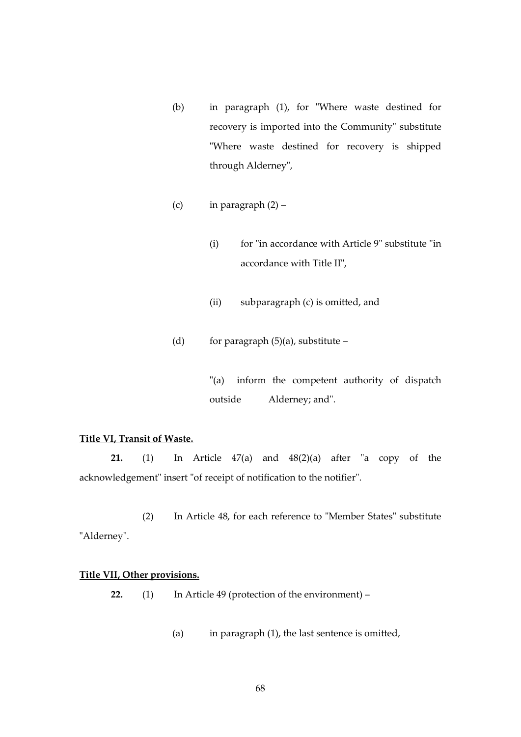- (b) in paragraph (1), for "Where waste destined for recovery is imported into the Community" substitute "Where waste destined for recovery is shipped through Alderney",
- (c) in paragraph  $(2)$ 
	- (i) for "in accordance with Article 9" substitute "in accordance with Title II",
	- (ii) subparagraph (c) is omitted, and
- (d) for paragraph  $(5)(a)$ , substitute –

"(a) inform the competent authority of dispatch outside Alderney; and".

# **Title VI, Transit of Waste.**

**21.** (1) In Article 47(a) and 48(2)(a) after "a copy of the acknowledgement" insert "of receipt of notification to the notifier".

(2) In Article 48, for each reference to "Member States" substitute "Alderney".

#### **Title VII, Other provisions.**

**22.** (1) In Article 49 (protection of the environment) –

(a) in paragraph (1), the last sentence is omitted,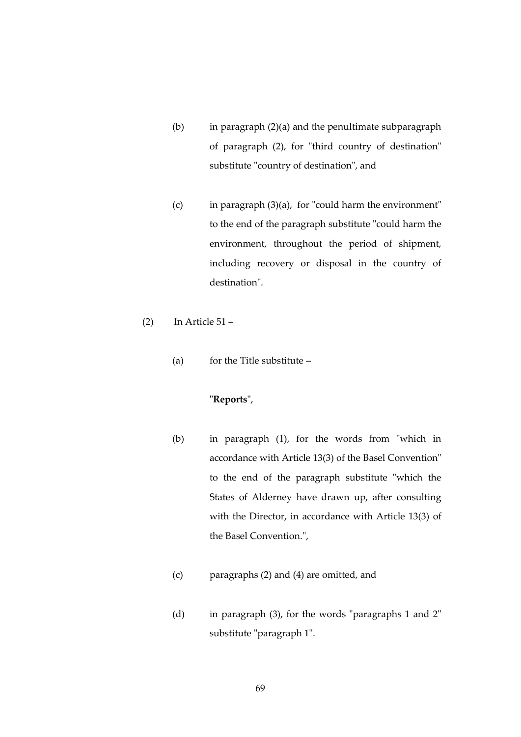- (b) in paragraph (2)(a) and the penultimate subparagraph of paragraph (2), for "third country of destination" substitute "country of destination", and
- (c) in paragraph (3)(a), for "could harm the environment" to the end of the paragraph substitute "could harm the environment, throughout the period of shipment, including recovery or disposal in the country of destination".
- (2) In Article  $51 -$ 
	- (a) for the Title substitute  $-$

# "**Reports**",

- (b) in paragraph (1), for the words from "which in accordance with Article 13(3) of the Basel Convention" to the end of the paragraph substitute "which the States of Alderney have drawn up, after consulting with the Director, in accordance with Article 13(3) of the Basel Convention.",
- (c) paragraphs (2) and (4) are omitted, and
- (d) in paragraph (3), for the words "paragraphs 1 and 2" substitute "paragraph 1".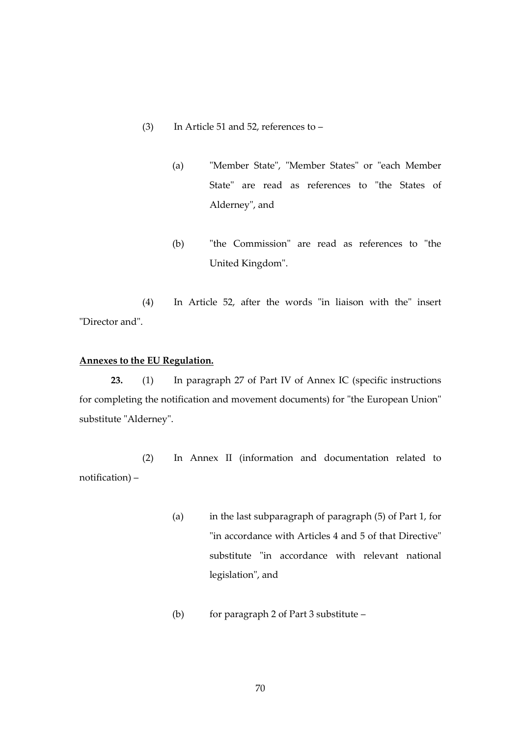- (3) In Article 51 and 52, references to
	- (a) "Member State", "Member States" or "each Member State" are read as references to "the States of Alderney", and
	- (b) "the Commission" are read as references to "the United Kingdom".

(4) In Article 52, after the words "in liaison with the" insert "Director and".

# **Annexes to the EU Regulation.**

**23.** (1) In paragraph 27 of Part IV of Annex IC (specific instructions for completing the notification and movement documents) for "the European Union" substitute "Alderney".

(2) In Annex II (information and documentation related to notification) –

- (a) in the last subparagraph of paragraph (5) of Part 1, for "in accordance with Articles 4 and 5 of that Directive" substitute "in accordance with relevant national legislation", and
- (b) for paragraph 2 of Part 3 substitute –